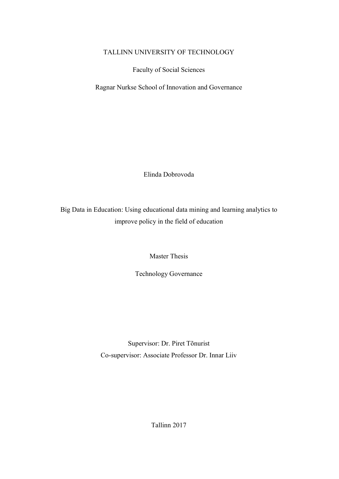# TALLINN UNIVERSITY OF TECHNOLOGY

Faculty of Social Sciences

Ragnar Nurkse School of Innovation and Governance

Elinda Dobrovoda

Big Data in Education: Using educational data mining and learning analytics to improve policy in the field of education

Master Thesis

Technology Governance

Supervisor: Dr. Piret Tõnurist Co-supervisor: Associate Professor Dr. Innar Liiv

Tallinn 2017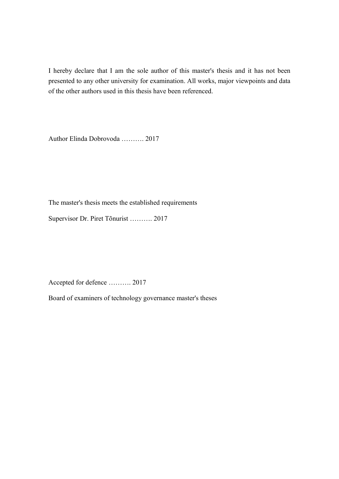I hereby declare that I am the sole author of this master's thesis and it has not been presented to any other university for examination. All works, major viewpoints and data of the other authors used in this thesis have been referenced.

Author Elinda Dobrovoda .......... 2017

The master's thesis meets the established requirements

Supervisor Dr. Piret Tõnurist .......... 2017

Accepted for defence .......... 2017

Board of examiners of technology governance master's theses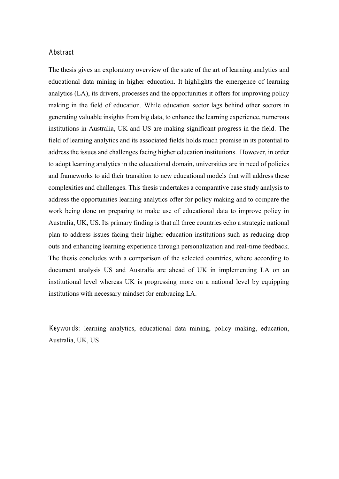#### Abstract

The thesis gives an exploratory overview of the state of the art of learning analytics and educational data mining in higher education. It highlights the emergence of learning analytics (LA), its drivers, processes and the opportunities it offers for improving policy making in the field of education. While education sector lags behind other sectors in generating valuable insights from big data, to enhance the learning experience, numerous institutions in Australia, UK and US are making significant progress in the field. The field of learning analytics and its associated fields holds much promise in its potential to address the issues and challenges facing higher education institutions. However, in order to adopt learning analytics in the educational domain, universities are in need of policies and frameworks to aid their transition to new educational models that will address these complexities and challenges. This thesis undertakes a comparative case study analysis to address the opportunities learning analytics offer for policy making and to compare the work being done on preparing to make use of educational data to improve policy in Australia, UK, US. Its primary finding is that all three countries echo a strategic national plan to address issues facing their higher education institutions such as reducing drop outs and enhancing learning experience through personalization and real-time feedback. The thesis concludes with a comparison of the selected countries, where according to document analysis US and Australia are ahead of UK in implementing LA on an institutional level whereas UK is progressing more on a national level by equipping institutions with necessary mindset for embracing LA.

Keywords: learning analytics, educational data mining, policy making, education, Australia, UK, US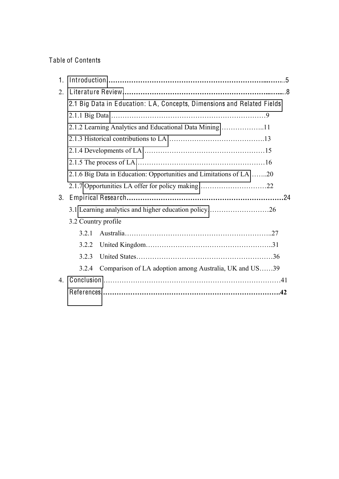# Table of Contents

| 1.      |                                                                    |                                                                        |  |  |
|---------|--------------------------------------------------------------------|------------------------------------------------------------------------|--|--|
| $2_{-}$ |                                                                    |                                                                        |  |  |
|         |                                                                    | 2.1 Big Data in Education: LA, Concepts, Dimensions and Related Fields |  |  |
|         |                                                                    |                                                                        |  |  |
|         | 2.1.2 Learning Analytics and Educational Data Mining11             |                                                                        |  |  |
|         |                                                                    |                                                                        |  |  |
|         |                                                                    |                                                                        |  |  |
|         |                                                                    |                                                                        |  |  |
|         | 2.1.6 Big Data in Education: Opportunities and Limitations of LA20 |                                                                        |  |  |
|         |                                                                    |                                                                        |  |  |
| 3.      |                                                                    |                                                                        |  |  |
|         | 3.1 Learning analytics and higher education policy26               |                                                                        |  |  |
|         | 3.2 Country profile                                                |                                                                        |  |  |
|         | 3.2.1                                                              |                                                                        |  |  |
|         | 3.2.2                                                              |                                                                        |  |  |
|         | 3.2.3                                                              |                                                                        |  |  |
|         | 3.2.4                                                              | Comparison of LA adoption among Australia, UK and US39                 |  |  |
| 4.      |                                                                    |                                                                        |  |  |
|         |                                                                    |                                                                        |  |  |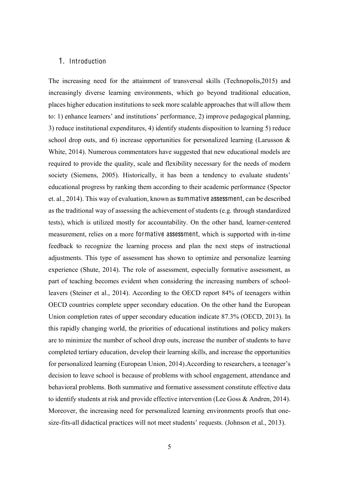# <span id="page-4-0"></span>1. Introduction

The increasing need for the attainment of transversal skills (Technopolis,2015) and increasingly diverse learning environments, which go beyond traditional education, places higher education institutions to seek more scalable approaches that will allow them to: 1) enhance learners' and institutions' performance, 2) improve pedagogical planning, 3) reduce institutional expenditures, 4) identify students disposition to learning 5) reduce school drop outs, and 6) increase opportunities for personalized learning (Larusson  $\&$ White, 2014). Numerous commentators have suggested that new educational models are required to provide the quality, scale and flexibility necessary for the needs of modern society (Siemens, 2005). Historically, it has been a tendency to evaluate students' educational progress by ranking them according to their academic performance (Spector et. al., 2014). This way of evaluation, known as summative assessment, can be described as the traditional way of assessing the achievement of students (e.g. through standardized tests), which is utilized mostly for accountability. On the other hand, learner-centered measurement, relies on a more formative assessment, which is supported with in-time feedback to recognize the learning process and plan the next steps of instructional adjustments. This type of assessment has shown to optimize and personalize learning experience (Shute, 2014). The role of assessment, especially formative assessment, as part of teaching becomes evident when considering the increasing numbers of schoolleavers (Steiner et al., 2014). According to the OECD report 84% of teenagers within OECD countries complete upper secondary education. On the other hand the European Union completion rates of upper secondary education indicate 87.3% (OECD, 2013). In this rapidly changing world, the priorities of educational institutions and policy makers are to minimize the number of school drop outs, increase the number of students to have completed tertiary education, develop their learning skills, and increase the opportunities for personalized learning (European Union, 2014). According to researchers, a teenager's decision to leave school is because of problems with school engagement, attendance and behavioral problems. Both summative and formative assessment constitute effective data to identify students at risk and provide effective intervention (Lee Goss & Andren, 2014). Moreover, the increasing need for personalized learning environments proofs that onesize-fits-all didactical practices will not meet students' requests. (Johnson et al., 2013).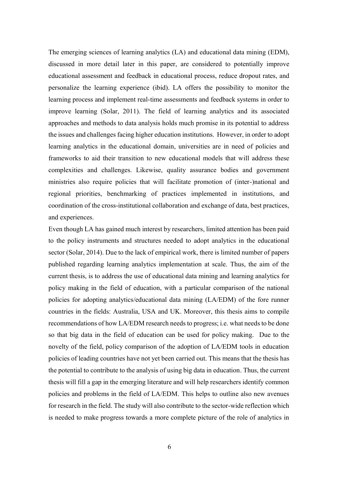The emerging sciences of learning analytics (LA) and educational data mining (EDM), discussed in more detail later in this paper, are considered to potentially improve educational assessment and feedback in educational process, reduce dropout rates, and personalize the learning experience (ibid). LA offers the possibility to monitor the learning process and implement real-time assessments and feedback systems in order to improve learning (Solar, 2011). The field of learning analytics and its associated approaches and methods to data analysis holds much promise in its potential to address the issues and challenges facing higher education institutions. However, in order to adopt learning analytics in the educational domain, universities are in need of policies and frameworks to aid their transition to new educational models that will address these complexities and challenges. Likewise, quality assurance bodies and government ministries also require policies that will facilitate promotion of (inter-)national and regional priorities, benchmarking of practices implemented in institutions, and coordination of the cross-institutional collaboration and exchange of data, best practices, and experiences.

Even though LA has gained much interest by researchers, limited attention has been paid to the policy instruments and structures needed to adopt analytics in the educational sector (Solar, 2014). Due to the lack of empirical work, there is limited number of papers published regarding learning analytics implementation at scale. Thus, the aim of the current thesis, is to address the use of educational data mining and learning analytics for policy making in the field of education, with a particular comparison of the national policies for adopting analytics/educational data mining (LA/EDM) of the fore runner countries in the fields: Australia, USA and UK. Moreover, this thesis aims to compile recommendations of how LA/EDM research needs to progress; i.e. what needs to be done so that big data in the field of education can be used for policy making. Due to the novelty of the field, policy comparison of the adoption of LA/EDM tools in education policies of leading countries have not yet been carried out. This means that the thesis has the potential to contribute to the analysis of using big data in education. Thus, the current thesis will fill a gap in the emerging literature and will help researchers identify common policies and problems in the field of LA/EDM. This helps to outline also new avenues for research in the field. The study will also contribute to the sector-wide reflection which is needed to make progress towards a more complete picture of the role of analytics in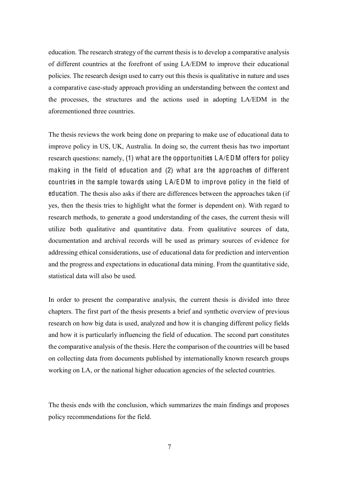education. The research strategy of the current thesis is to develop a comparative analysis of different countries at the forefront of using LA/EDM to improve their educational policies. The research design used to carry out this thesis is qualitative in nature and uses a comparative case-study approach providing an understanding between the context and the processes, the structures and the actions used in adopting LA/EDM in the aforementioned three countries.

The thesis reviews the work being done on preparing to make use of educational data to improve policy in US, UK, Australia. In doing so, the current thesis has two important research questions: namely, (1) what are the opportunities L A/EDM offers for policy making in the field of education and (2) what are the approaches of different countries in the sample towards using L A/EDM to improve policy in the field of education. The thesis also asks if there are differences between the approaches taken (if yes, then the thesis tries to highlight what the former is dependent on). With regard to research methods, to generate a good understanding of the cases, the current thesis will utilize both qualitative and quantitative data. From qualitative sources of data, documentation and archival records will be used as primary sources of evidence for addressing ethical considerations, use of educational data for prediction and intervention and the progress and expectations in educational data mining. From the quantitative side, statistical data will also be used.

In order to present the comparative analysis, the current thesis is divided into three chapters. The first part of the thesis presents a brief and synthetic overview of previous research on how big data is used, analyzed and how it is changing different policy fields and how it is particularly influencing the field of education. The second part constitutes the comparative analysis of the thesis. Here the comparison of the countries will be based on collecting data from documents published by internationally known research groups working on LA, or the national higher education agencies of the selected countries.

The thesis ends with the conclusion, which summarizes the main findings and proposes policy recommendations for the field.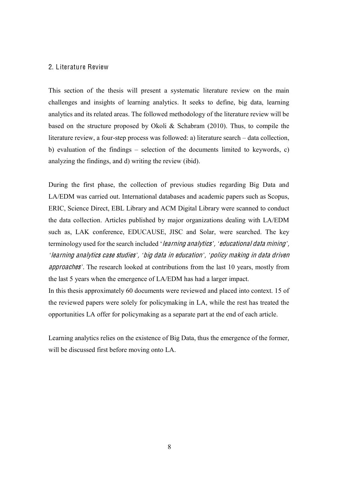### <span id="page-7-0"></span>2. Literature Review

This section of the thesis will present a systematic literature review on the main challenges and insights of learning analytics. It seeks to define, big data, learning analytics and its related areas. The followed methodology of the literature review will be based on the structure proposed by Okoli & Schabram (2010). Thus, to compile the literature review, a four-step process was followed: a) literature search – data collection, b) evaluation of the findings  $-$  selection of the documents limited to keywords, c) analyzing the findings, and d) writing the review (ibid).

During the first phase, the collection of previous studies regarding Big Data and LA/EDM was carried out. International databases and academic papers such as Scopus, ERIC, Science Direct, EBL Library and ACM Digital Library were scanned to conduct the data collection. Articles published by major organizations dealing with LA/EDM such as, LAK conference, EDUCAUSE, JISC and Solar, were searched. The key terminology used for the search included '*learning analytics'*, *'educational data mining'*, *µ*learning analytic<sup>s</sup> <sup>c</sup>as<sup>e</sup> studie<sup>s</sup>*¶*, *µ*big dat<sup>a</sup> in <sup>e</sup>ducation*¶*, *µ*poli<sup>c</sup>y making in dat<sup>a</sup> drive<sup>n</sup> approache<sup>s</sup>*¶*. The research looked at contributions from the last 10 years, mostly from the last 5 years when the emergence of LA/EDM has had a larger impact.

In this thesis approximately 60 documents were reviewed and placed into context. 15 of the reviewed papers were solely for policymaking in LA, while the rest has treated the opportunities LA offer for policymaking as a separate part at the end of each article.

Learning analytics relies on the existence of Big Data, thus the emergence of the former, will be discussed first before moving onto LA.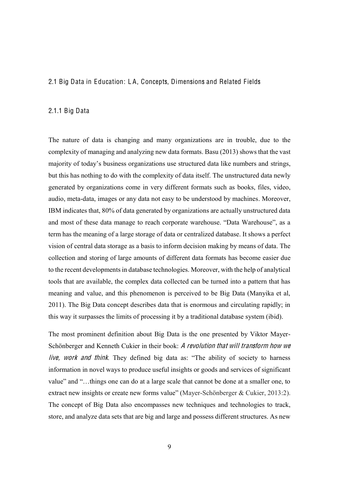### <span id="page-8-0"></span>2.1 Big Data in Education: L A, Concepts, Dimensions and Related Fields

#### <span id="page-8-1"></span>2.1.1 Big Data

The nature of data is changing and many organizations are in trouble, due to the complexity of managing and analyzing new data formats. Basu (2013) shows that the vast majority of today's business organizations use structured data like numbers and strings, but this has nothing to do with the complexity of data itself. The unstructured data newly generated by organizations come in very different formats such as books, files, video, audio, meta-data, images or any data not easy to be understood by machines. Moreover, IBM indicates that, 80% of data generated by organizations are actually unstructured data and most of these data manage to reach corporate warehouse. "Data Warehouse", as a term has the meaning of a large storage of data or centralized database. It shows a perfect vision of central data storage as a basis to inform decision making by means of data. The collection and storing of large amounts of different data formats has become easier due to the recent developments in database technologies. Moreover, with the help of analytical tools that are available, the complex data collected can be turned into a pattern that has meaning and value, and this phenomenon is perceived to be Big Data (Manyika et al, 2011). The Big Data concept describes data that is enormous and circulating rapidly; in this way it surpasses the limits of processing it by a traditional database system (ibid).

The most prominent definition about Big Data is the one presented by Viktor Mayer-Schönberger and Kenneth Cukier in their book: A revolution that will transform how we live, work and think. They defined big data as: "The ability of society to harness information in novel ways to produce useful insights or goods and services of significant value" and "...things one can do at a large scale that cannot be done at a smaller one, to extract new insights or create new forms value" (Mayer-Schönberger  $&$  Cukier, 2013:2). The concept of Big Data also encompasses new techniques and technologies to track, store, and analyze data sets that are big and large and possess different structures. As new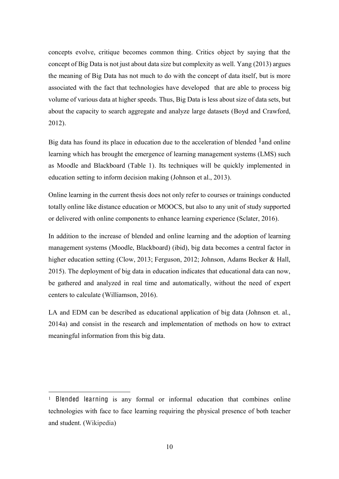concepts evolve, critique becomes common thing. Critics object by saying that the concept of Big Data is not just about data size but complexity as well. Yang (2013) argues the meaning of Big Data has not much to do with the concept of data itself, but is more associated with the fact that technologies have developed that are able to process big volume of various data at higher speeds. Thus, Big Data is less about size of data sets, but about the capacity to search aggregate and analyze large datasets (Boyd and Crawford, 2012).

Big data has found its place in education due to the acceleration of blended  $<sup>1</sup>$  and online</sup> learning which has brought the emergence of learning management systems (LMS) such as Moodle and Blackboard (Table 1). Its techniques will be quickly implemented in education setting to inform decision making (Johnson et al., 2013).

Online learning in the current thesis does not only refer to courses or trainings conducted totally online like distance education or MOOCS, but also to any unit of study supported or delivered with online components to enhance learning experience (Sclater, 2016).

In addition to the increase of blended and online learning and the adoption of learning management systems (Moodle, Blackboard) (ibid), big data becomes a central factor in higher education setting (Clow, 2013; Ferguson, 2012; Johnson, Adams Becker & Hall, 2015). The deployment of big data in education indicates that educational data can now, be gathered and analyzed in real time and automatically, without the need of expert centers to calculate (Williamson, 2016).

LA and EDM can be described as educational application of big data (Johnson et. al., 2014a) and consist in the research and implementation of methods on how to extract meaningful information from this big data.

 <sup>1</sup> Blende<sup>d</sup> <sup>l</sup>earning is any formal or informal education that combines online technologies with face to face learning requiring the physical presence of both teacher and student. (Wikipedia)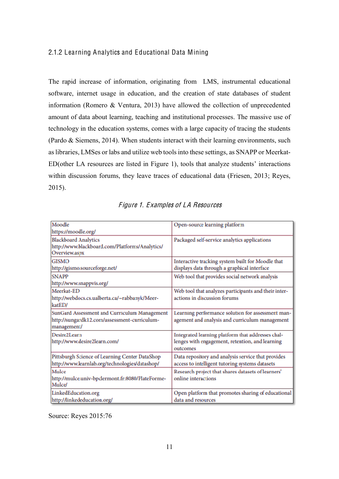# <span id="page-10-0"></span>2.1.2 Learning Analytics and Educational Data Mining

The rapid increase of information, originating from LMS, instrumental educational software, internet usage in education, and the creation of state databases of student information (Romero & Ventura, 2013) have allowed the collection of unprecedented amount of data about learning, teaching and institutional processes. The massive use of technology in the education systems, comes with a large capacity of tracing the students (Pardo & Siemens, 2014). When students interact with their learning environments, such as libraries, LMSes or labs and utilize web tools into these settings, as SNAPP or Meerkat- $ED(other LA resources are listed in Figure 1), tools that analyze students' interactions$ within discussion forums, they leave traces of educational data (Friesen, 2013; Reyes, 2015).

| Moodle<br>https://moodle.org/                                                                               | Open-source learning platform                                                                                    |
|-------------------------------------------------------------------------------------------------------------|------------------------------------------------------------------------------------------------------------------|
| <b>Blackboard Analytics</b><br>http://www.blackboard.com/Platforms/Analytics/<br>Overview.aspx              | Packaged self-service analytics applications                                                                     |
| <b>GISMO</b><br>http://gismo.sourceforge.net/                                                               | Interactive tracking system built for Moodle that<br>displays data through a graphical interface                 |
| <b>SNAPP</b><br>http://www.snappvis.org/                                                                    | Web tool that provides social network analysis                                                                   |
| Meerkat-ED<br>http://webdocs.cs.ualberta.ca/~rabbanyk/Meer-<br>katED/                                       | Web tool that analyzes participants and their inter-<br>actions in discussion forums                             |
| SunGard Assessment and Curriculum Management<br>http://sungardk12.com/assessment-curriculum-<br>management/ | Learning performance solution for assessment man-<br>agement and analysis and curriculum management              |
| Desire2Learn<br>http://www.desire2learn.com/                                                                | Integrated learning platform that addresses chal-<br>lenges with engagement, retention, and learning<br>outcomes |
| Pittsburgh Science of Learning Center DataShop<br>http://www.learnlab.org/technologies/datashop/            | Data repository and analysis service that provides<br>access to intelligent tutoring systems datasets            |
| Mulce<br>http://mulce.univ-bpclermont.fr:8080/PlateForme-<br><b>Mulce</b> /                                 | Research project that shares datasets of learners'<br>online interactions                                        |
| LinkedEducation.org<br>http://linkededucation.org/                                                          | Open platform that promotes sharing of educational<br>data and resources                                         |

#### Figure 1. Examples of LA Resources

Source: Reyes 2015:76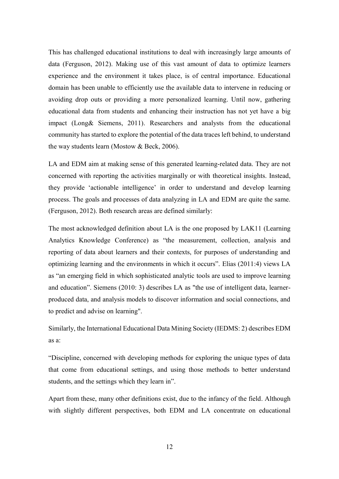This has challenged educational institutions to deal with increasingly large amounts of data (Ferguson, 2012). Making use of this vast amount of data to optimize learners experience and the environment it takes place, is of central importance. Educational domain has been unable to efficiently use the available data to intervene in reducing or avoiding drop outs or providing a more personalized learning. Until now, gathering educational data from students and enhancing their instruction has not yet have a big impact (Long& Siemens, 2011). Researchers and analysts from the educational community has started to explore the potential of the data traces left behind, to understand the way students learn (Mostow & Beck, 2006).

LA and EDM aim at making sense of this generated learning-related data. They are not concerned with reporting the activities marginally or with theoretical insights. Instead, they provide 'actionable intelligence' in order to understand and develop learning process. The goals and processes of data analyzing in LA and EDM are quite the same. (Ferguson, 2012). Both research areas are defined similarly:

The most acknowledged definition about LA is the one proposed by LAK11 (Learning Analytics Knowledge Conference) as "the measurement, collection, analysis and reporting of data about learners and their contexts, for purposes of understanding and optimizing learning and the environments in which it occurs". Elias  $(2011:4)$  views LA as "an emerging field in which sophisticated analytic tools are used to improve learning and education". Siemens  $(2010: 3)$  describes LA as "the use of intelligent data, learnerproduced data, and analysis models to discover information and social connections, and to predict and advise on learning".

Similarly, the International Educational Data Mining Society (IEDMS: 2) describes EDM as a:

³Discipline, concerned with developing methods for exploring the unique types of data that come from educational settings, and using those methods to better understand students, and the settings which they learn in".

Apart from these, many other definitions exist, due to the infancy of the field. Although with slightly different perspectives, both EDM and LA concentrate on educational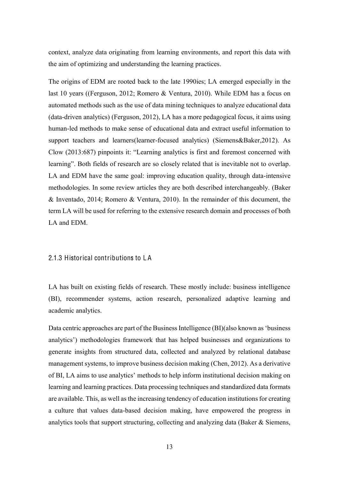context, analyze data originating from learning environments, and report this data with the aim of optimizing and understanding the learning practices.

The origins of EDM are rooted back to the late 1990ies; LA emerged especially in the last 10 years ((Ferguson, 2012; Romero & Ventura, 2010). While EDM has a focus on automated methods such as the use of data mining techniques to analyze educational data (data-driven analytics) (Ferguson, 2012), LA has a more pedagogical focus, it aims using human-led methods to make sense of educational data and extract useful information to support teachers and learners(learner-focused analytics) (Siemens&Baker,2012). As Clow  $(2013:687)$  pinpoints it: "Learning analytics is first and foremost concerned with learning". Both fields of research are so closely related that is inevitable not to overlap. LA and EDM have the same goal: improving education quality, through data-intensive methodologies. In some review articles they are both described interchangeably. (Baker & Inventado, 2014; Romero & Ventura, 2010). In the remainder of this document, the term LA will be used for referring to the extensive research domain and processes of both LA and EDM.

#### <span id="page-12-0"></span>2.1.3 Historical contributions to L A

LA has built on existing fields of research. These mostly include: business intelligence (BI), recommender systems, action research, personalized adaptive learning and academic analytics.

Data centric approaches are part of the Business Intelligence (BI)(also known as 'business analytics') methodologies framework that has helped businesses and organizations to generate insights from structured data, collected and analyzed by relational database management systems, to improve business decision making (Chen, 2012). As a derivative of BI, LA aims to use analytics' methods to help inform institutional decision making on learning and learning practices. Data processing techniques and standardized data formats are available. This, as well as the increasing tendency of education institutions for creating a culture that values data-based decision making, have empowered the progress in analytics tools that support structuring, collecting and analyzing data (Baker & Siemens,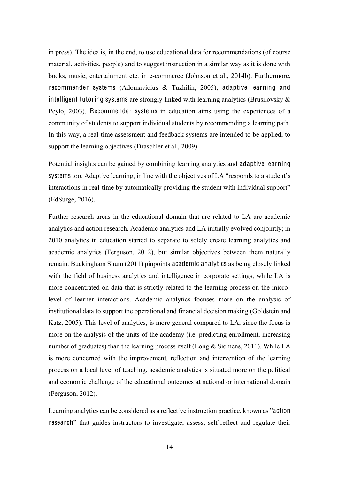in press). The idea is, in the end, to use educational data for recommendations (of course material, activities, people) and to suggest instruction in a similar way as it is done with books, music, entertainment etc. in e-commerce (Johnson et al., 2014b). Furthermore, recommender systems (Adomavicius & Tuzhilin, 2005), adaptive learning and intelligent tutoring systems are strongly linked with learning analytics (Brusilovsky  $\&$ Peylo, 2003). Recommender systems in education aims using the experiences of a community of students to support individual students by recommending a learning path. In this way, a real-time assessment and feedback systems are intended to be applied, to support the learning objectives (Draschler et al., 2009).

Potential insights can be gained by combining learning analytics and adaptive learning systems too. Adaptive learning, in line with the objectives of LA "responds to a student's interactions in real-time by automatically providing the student with individual support" (EdSurge, 2016).

Further research areas in the educational domain that are related to LA are academic analytics and action research. Academic analytics and LA initially evolved conjointly; in 2010 analytics in education started to separate to solely create learning analytics and academic analytics (Ferguson, 2012), but similar objectives between them naturally remain. Buckingham Shum (2011) pinpoints academic analytics as being closely linked with the field of business analytics and intelligence in corporate settings, while LA is more concentrated on data that is strictly related to the learning process on the microlevel of learner interactions. Academic analytics focuses more on the analysis of institutional data to support the operational and financial decision making (Goldstein and Katz, 2005). This level of analytics, is more general compared to LA, since the focus is more on the analysis of the units of the academy (i.e. predicting enrollment, increasing number of graduates) than the learning process itself (Long & Siemens, 2011). While LA is more concerned with the improvement, reflection and intervention of the learning process on a local level of teaching, academic analytics is situated more on the political and economic challenge of the educational outcomes at national or international domain (Ferguson, 2012).

Learning analytics can be considered as a reflective instruction practice, known as "action research<sup>"</sup> that guides instructors to investigate, assess, self-reflect and regulate their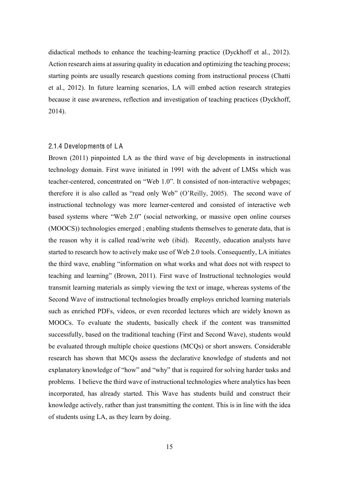didactical methods to enhance the teaching-learning practice (Dyckhoff et al., 2012). Action research aims at assuring quality in education and optimizing the teaching process; starting points are usually research questions coming from instructional process (Chatti et al., 2012). In future learning scenarios, LA will embed action research strategies because it ease awareness, reflection and investigation of teaching practices (Dyckhoff, 2014).

### <span id="page-14-0"></span>2.1.4 Developments of L A

Brown (2011) pinpointed LA as the third wave of big developments in instructional technology domain. First wave initiated in 1991 with the advent of LMSs which was teacher-centered, concentrated on "Web 1.0". It consisted of non-interactive webpages; therefore it is also called as "read only Web" (O'Reilly, 2005). The second wave of instructional technology was more learner-centered and consisted of interactive web based systems where "Web 2.0" (social networking, or massive open online courses (MOOCS)) technologies emerged ; enabling students themselves to generate data, that is the reason why it is called read/write web (ibid). Recently, education analysts have started to research how to actively make use of Web 2.0 tools. Consequently, LA initiates the third wave, enabling "information on what works and what does not with respect to teaching and learning" (Brown, 2011). First wave of Instructional technologies would transmit learning materials as simply viewing the text or image, whereas systems of the Second Wave of instructional technologies broadly employs enriched learning materials such as enriched PDFs, videos, or even recorded lectures which are widely known as MOOCs. To evaluate the students, basically check if the content was transmitted successfully, based on the traditional teaching (First and Second Wave), students would be evaluated through multiple choice questions (MCQs) or short answers. Considerable research has shown that MCQs assess the declarative knowledge of students and not explanatory knowledge of "how" and "why" that is required for solving harder tasks and problems. I believe the third wave of instructional technologies where analytics has been incorporated, has already started. This Wave has students build and construct their knowledge actively, rather than just transmitting the content. This is in line with the idea of students using LA, as they learn by doing.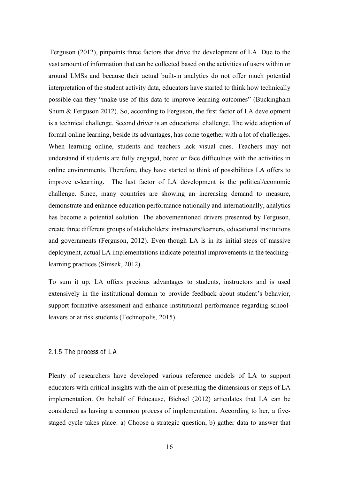Ferguson (2012), pinpoints three factors that drive the development of LA. Due to the vast amount of information that can be collected based on the activities of users within or around LMSs and because their actual built-in analytics do not offer much potential interpretation of the student activity data, educators have started to think how technically possible can they "make use of this data to improve learning outcomes" (Buckingham Shum & Ferguson 2012). So, according to Ferguson, the first factor of LA development is a technical challenge. Second driver is an educational challenge. The wide adoption of formal online learning, beside its advantages, has come together with a lot of challenges. When learning online, students and teachers lack visual cues. Teachers may not understand if students are fully engaged, bored or face difficulties with the activities in online environments. Therefore, they have started to think of possibilities LA offers to improve e-learning. The last factor of LA development is the political/economic challenge. Since, many countries are showing an increasing demand to measure, demonstrate and enhance education performance nationally and internationally, analytics has become a potential solution. The abovementioned drivers presented by Ferguson, create three different groups of stakeholders: instructors/learners, educational institutions and governments (Ferguson, 2012). Even though LA is in its initial steps of massive deployment, actual LA implementations indicate potential improvements in the teachinglearning practices (Simsek, 2012).

To sum it up, LA offers precious advantages to students, instructors and is used extensively in the institutional domain to provide feedback about student's behavior, support formative assessment and enhance institutional performance regarding schoolleavers or at risk students (Technopolis, 2015)

#### <span id="page-15-0"></span>2.1.5 The process of L A

Plenty of researchers have developed various reference models of LA to support educators with critical insights with the aim of presenting the dimensions or steps of LA implementation. On behalf of Educause, Bichsel (2012) articulates that LA can be considered as having a common process of implementation. According to her, a fivestaged cycle takes place: a) Choose a strategic question, b) gather data to answer that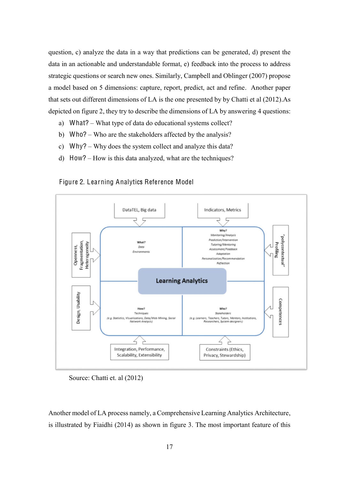question, c) analyze the data in a way that predictions can be generated, d) present the data in an actionable and understandable format, e) feedback into the process to address strategic questions or search new ones. Similarly, Campbell and Oblinger (2007) propose a model based on 5 dimensions: capture, report, predict, act and refine. Another paper that sets out different dimensions of LA is the one presented by by Chatti et al (2012).As depicted on figure 2, they try to describe the dimensions of LA by answering 4 questions:

- a) What? What type of data do educational systems collect?
- b) Who? Who are the stakeholders affected by the analysis?
- c)  $Why? Why does the system collect and analyze this data?$
- d)  $How? How is this data analyzed, what are the techniques?$



Figure 2. Learning Analytics Reference Model

Source: Chatti et. al (2012)

Another model of LA process namely, a Comprehensive Learning Analytics Architecture, is illustrated by Fiaidhi (2014) as shown in figure 3. The most important feature of this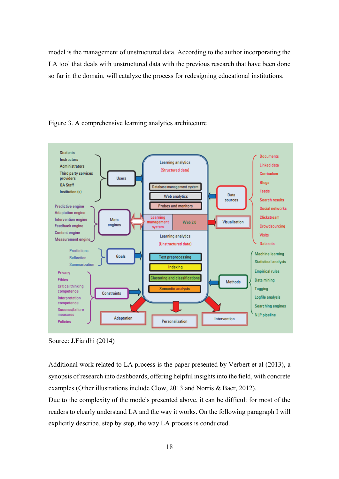model is the management of unstructured data. According to the author incorporating the LA tool that deals with unstructured data with the previous research that have been done so far in the domain, will catalyze the process for redesigning educational institutions.





Additional work related to LA process is the paper presented by Verbert et al (2013), a synopsis of research into dashboards, offering helpful insights into the field, with concrete examples (Other illustrations include Clow, 2013 and Norris & Baer, 2012).

Due to the complexity of the models presented above, it can be difficult for most of the readers to clearly understand LA and the way it works. On the following paragraph I will explicitly describe, step by step, the way LA process is conducted.

Source: J.Fiaidhi (2014)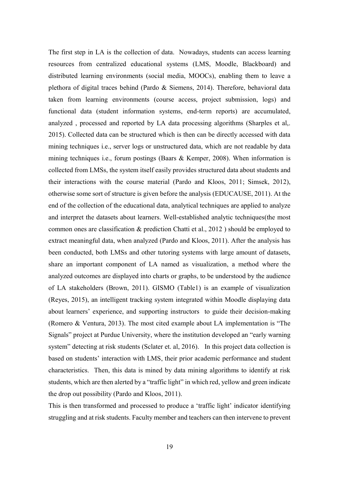The first step in LA is the collection of data. Nowadays, students can access learning resources from centralized educational systems (LMS, Moodle, Blackboard) and distributed learning environments (social media, MOOCs), enabling them to leave a plethora of digital traces behind (Pardo & Siemens, 2014). Therefore, behavioral data taken from learning environments (course access, project submission, logs) and functional data (student information systems, end-term reports) are accumulated, analyzed , processed and reported by LA data processing algorithms (Sharples et al,. 2015). Collected data can be structured which is then can be directly accessed with data mining techniques i.e., server logs or unstructured data, which are not readable by data mining techniques i.e., forum postings (Baars & Kemper, 2008). When information is collected from LMSs, the system itself easily provides structured data about students and their interactions with the course material (Pardo and Kloos, 2011; Simsek, 2012), otherwise some sort of structure is given before the analysis (EDUCAUSE, 2011). At the end of the collection of the educational data, analytical techniques are applied to analyze and interpret the datasets about learners. Well-established analytic techniques(the most common ones are classification & prediction Chatti et al., 2012 ) should be employed to extract meaningful data, when analyzed (Pardo and Kloos, 2011). After the analysis has been conducted, both LMSs and other tutoring systems with large amount of datasets, share an important component of LA named as visualization, a method where the analyzed outcomes are displayed into charts or graphs, to be understood by the audience of LA stakeholders (Brown, 2011). GISMO (Table1) is an example of visualization (Reyes, 2015), an intelligent tracking system integrated within Moodle displaying data about learners' experience, and supporting instructors to guide their decision-making (Romero  $& Ventura, 2013$ ). The most cited example about LA implementation is "The Signals" project at Purdue University, where the institution developed an "early warning system" detecting at risk students (Sclater et. al, 2016). In this project data collection is based on students' interaction with LMS, their prior academic performance and student characteristics. Then, this data is mined by data mining algorithms to identify at risk students, which are then alerted by a "traffic light" in which red, yellow and green indicate the drop out possibility (Pardo and Kloos, 2011).

This is then transformed and processed to produce a 'traffic light' indicator identifying struggling and at risk students. Faculty member and teachers can then intervene to prevent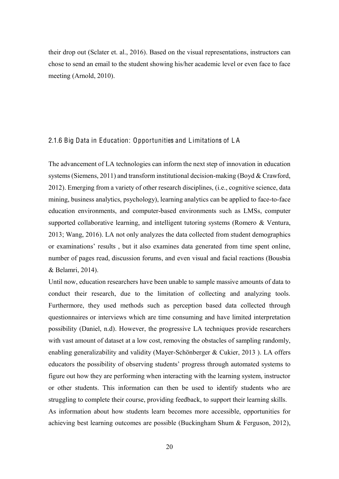their drop out (Sclater et. al., 2016). Based on the visual representations, instructors can chose to send an email to the student showing his/her academic level or even face to face meeting (Arnold, 2010).

#### <span id="page-19-0"></span>2.1.6 Big Data in Education: Opportunities and Limitations of L A

The advancement of LA technologies can inform the next step of innovation in education systems (Siemens, 2011) and transform institutional decision-making (Boyd & Crawford, 2012). Emerging from a variety of other research disciplines, (i.e., cognitive science, data mining, business analytics, psychology), learning analytics can be applied to face-to-face education environments, and computer-based environments such as LMSs, computer supported collaborative learning, and intelligent tutoring systems (Romero & Ventura, 2013; Wang, 2016). LA not only analyzes the data collected from student demographics or examinations' results, but it also examines data generated from time spent online, number of pages read, discussion forums, and even visual and facial reactions (Bousbia & Belamri, 2014).

Until now, education researchers have been unable to sample massive amounts of data to conduct their research, due to the limitation of collecting and analyzing tools. Furthermore, they used methods such as perception based data collected through questionnaires or interviews which are time consuming and have limited interpretation possibility (Daniel, n.d). However, the progressive LA techniques provide researchers with vast amount of dataset at a low cost, removing the obstacles of sampling randomly, enabling generalizability and validity (Mayer-Schönberger & Cukier, 2013 ). LA offers educators the possibility of observing students' progress through automated systems to figure out how they are performing when interacting with the learning system, instructor or other students. This information can then be used to identify students who are struggling to complete their course, providing feedback, to support their learning skills. As information about how students learn becomes more accessible, opportunities for achieving best learning outcomes are possible (Buckingham Shum & Ferguson, 2012),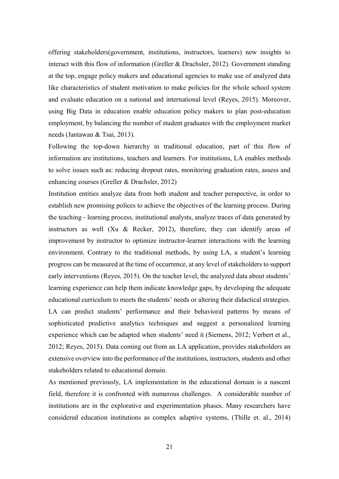offering stakeholders(government, institutions, instructors, learners) new insights to interact with this flow of information (Greller & Drachsler, 2012). Government standing at the top, engage policy makers and educational agencies to make use of analyzed data like characteristics of student motivation to make policies for the whole school system and evaluate education on a national and international level (Reyes, 2015). Moreover, using Big Data in education enable education policy makers to plan post-education employment, by balancing the number of student graduates with the employment market needs (Jantawan & Tsai, 2013).

Following the top-down hierarchy in traditional education, part of this flow of information are institutions, teachers and learners. For institutions, LA enables methods to solve issues such as: reducing dropout rates, monitoring graduation rates, assess and enhancing courses (Greller & Drachsler, 2012)

Institution entities analyze data from both student and teacher perspective, in order to establish new promising polices to achieve the objectives of the learning process. During the teaching - learning process, institutional analysts, analyze traces of data generated by instructors as well (Xu & Recker, 2012), therefore, they can identify areas of improvement by instructor to optimize instructor-learner interactions with the learning environment. Contrary to the traditional methods, by using LA, a student's learning progress can be measured at the time of occurrence, at any level of stakeholders to support early interventions (Reyes, 2015). On the teacher level, the analyzed data about students' learning experience can help them indicate knowledge gaps, by developing the adequate educational curriculum to meets the students' needs or altering their didactical strategies. LA can predict students' performance and their behavioral patterns by means of sophisticated predictive analytics techniques and suggest a personalized learning experience which can be adapted when students' need it (Siemens, 2012; Verbert et al., 2012; Reyes, 2015). Data coming out from an LA application, provides stakeholders an extensive overview into the performance of the institutions, instructors, students and other stakeholders related to educational domain.

As mentioned previously, LA implementation in the educational domain is a nascent field, therefore it is confronted with numerous challenges. A considerable number of institutions are in the explorative and experimentation phases. Many researchers have considered education institutions as complex adaptive systems, (Thille et. al., 2014)

21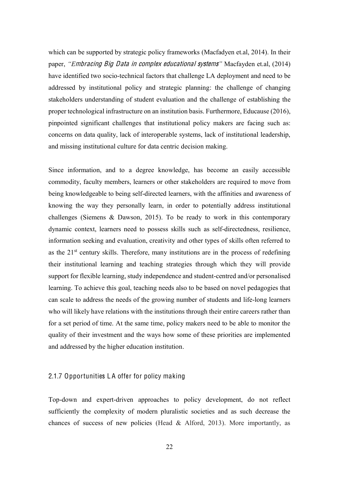which can be supported by strategic policy frameworks (Macfadyen et.al, 2014). In their paper, *³(*mbracing Big Dat<sup>a</sup> in <sup>c</sup>ompl<sup>e</sup><sup>x</sup> <sup>e</sup>ducational <sup>s</sup>ystem<sup>s</sup>*´* Macfayden et.al, (2014) have identified two socio-technical factors that challenge LA deployment and need to be addressed by institutional policy and strategic planning: the challenge of changing stakeholders understanding of student evaluation and the challenge of establishing the proper technological infrastructure on an institution basis. Furthermore, Educause (2016), pinpointed significant challenges that institutional policy makers are facing such as: concerns on data quality, lack of interoperable systems, lack of institutional leadership, and missing institutional culture for data centric decision making.

Since information, and to a degree knowledge, has become an easily accessible commodity, faculty members, learners or other stakeholders are required to move from being knowledgeable to being self-directed learners, with the affinities and awareness of knowing the way they personally learn, in order to potentially address institutional challenges (Siemens & Dawson, 2015). To be ready to work in this contemporary dynamic context, learners need to possess skills such as self-directedness, resilience, information seeking and evaluation, creativity and other types of skills often referred to as the  $21<sup>st</sup>$  century skills. Therefore, many institutions are in the process of redefining their institutional learning and teaching strategies through which they will provide support for flexible learning, study independence and student-centred and/or personalised learning. To achieve this goal, teaching needs also to be based on novel pedagogies that can scale to address the needs of the growing number of students and life-long learners who will likely have relations with the institutions through their entire careers rather than for a set period of time. At the same time, policy makers need to be able to monitor the quality of their investment and the ways how some of these priorities are implemented and addressed by the higher education institution.

# <span id="page-21-0"></span>2.1.7 Opportunities L A offer for policy making

Top-down and expert-driven approaches to policy development, do not reflect sufficiently the complexity of modern pluralistic societies and as such decrease the chances of success of new policies (Head  $&$  Alford, 2013). More importantly, as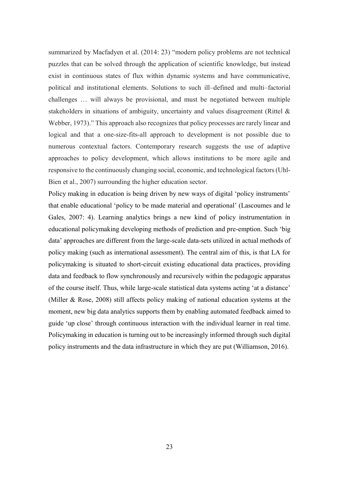summarized by Macfadyen et al. (2014: 23) "modern policy problems are not technical puzzles that can be solved through the application of scientific knowledge, but instead exist in continuous states of flux within dynamic systems and have communicative, political and institutional elements. Solutions to such ill-defined and multi-factorial challenges ... will always be provisional, and must be negotiated between multiple stakeholders in situations of ambiguity, uncertainty and values disagreement (Rittel & Webber, 1973)." This approach also recognizes that policy processes are rarely linear and logical and that a one-size-fits-all approach to development is not possible due to numerous contextual factors. Contemporary research suggests the use of adaptive approaches to policy development, which allows institutions to be more agile and responsive to the continuously changing social, economic, and technological factors (Uhl-Bien et al., 2007) surrounding the higher education sector.

Policy making in education is being driven by new ways of digital 'policy instruments' that enable educational 'policy to be made material and operational' (Lascoumes and le Gales, 2007: 4). Learning analytics brings a new kind of policy instrumentation in educational policymaking developing methods of prediction and pre-emption. Such 'big data' approaches are different from the large-scale data-sets utilized in actual methods of policy making (such as international assessment). The central aim of this, is that LA for policymaking is situated to short-circuit existing educational data practices, providing data and feedback to flow synchronously and recursively within the pedagogic apparatus of the course itself. Thus, while large-scale statistical data systems acting 'at a distance' (Miller & Rose, 2008) still affects policy making of national education systems at the moment, new big data analytics supports them by enabling automated feedback aimed to guide 'up close' through continuous interaction with the individual learner in real time. Policymaking in education is turning out to be increasingly informed through such digital policy instruments and the data infrastructure in which they are put (Williamson, 2016).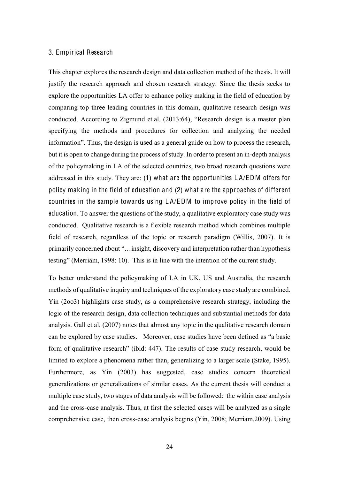#### <span id="page-23-0"></span>3. Empirical Research

This chapter explores the research design and data collection method of the thesis. It will justify the research approach and chosen research strategy. Since the thesis seeks to explore the opportunities LA offer to enhance policy making in the field of education by comparing top three leading countries in this domain, qualitative research design was conducted. According to Zigmund et.al. (2013:64), "Research design is a master plan specifying the methods and procedures for collection and analyzing the needed information". Thus, the design is used as a general guide on how to process the research, but it is open to change during the process of study. In order to present an in-depth analysis of the policymaking in LA of the selected countries, two broad research questions were addressed in this study. They are: (1) what are the opportunities L A/EDM offers for policy making in the field of education and (2) what are the approaches of different countries in the sample towards using L A/EDM to improve policy in the field of education. To answer the questions of the study, a qualitative exploratory case study was conducted. Qualitative research is a flexible research method which combines multiple field of research, regardless of the topic or research paradigm (Willis, 2007). It is primarily concerned about "...insight, discovery and interpretation rather than hypothesis testing" (Merriam, 1998: 10). This is in line with the intention of the current study.

To better understand the policymaking of LA in UK, US and Australia, the research methods of qualitative inquiry and techniques of the exploratory case study are combined. Yin (2oo3) highlights case study, as a comprehensive research strategy, including the logic of the research design, data collection techniques and substantial methods for data analysis. Gall et al. (2007) notes that almost any topic in the qualitative research domain can be explored by case studies. Moreover, case studies have been defined as "a basic form of qualitative research" (ibid: 447). The results of case study research, would be limited to explore a phenomena rather than, generalizing to a larger scale (Stake, 1995). Furthermore, as Yin (2003) has suggested, case studies concern theoretical generalizations or generalizations of similar cases. As the current thesis will conduct a multiple case study, two stages of data analysis will be followed: the within case analysis and the cross-case analysis. Thus, at first the selected cases will be analyzed as a single comprehensive case, then cross-case analysis begins (Yin, 2008; Merriam,2009). Using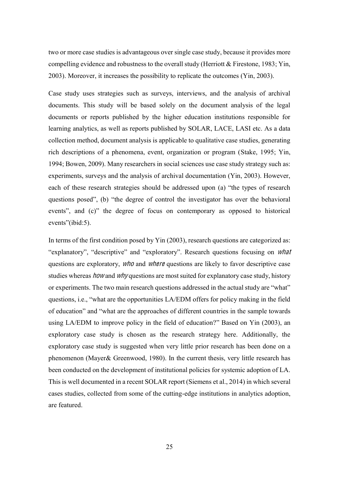two or more case studies is advantageous over single case study, because it provides more compelling evidence and robustness to the overall study (Herriott & Firestone, 1983; Yin, 2003). Moreover, it increases the possibility to replicate the outcomes (Yin, 2003).

Case study uses strategies such as surveys, interviews, and the analysis of archival documents. This study will be based solely on the document analysis of the legal documents or reports published by the higher education institutions responsible for learning analytics, as well as reports published by SOLAR, LACE, LASI etc. As a data collection method, document analysis is applicable to qualitative case studies, generating rich descriptions of a phenomena, event, organization or program (Stake, 1995; Yin, 1994; Bowen, 2009). Many researchers in social sciences use case study strategy such as: experiments, surveys and the analysis of archival documentation (Yin, 2003). However, each of these research strategies should be addressed upon (a) "the types of research questions posed", (b) "the degree of control the investigator has over the behavioral events", and  $(c)$ " the degree of focus on contemporary as opposed to historical events"(ibid:5).

In terms of the first condition posed by Yin (2003), research questions are categorized as: "explanatory", "descriptive" and "exploratory". Research questions focusing on *what* questions are exploratory, who and where questions are likely to favor descriptive case studies whereas *how* and *why* questions are most suited for explanatory case study, history or experiments. The two main research questions addressed in the actual study are "what" questions, i.e., "what are the opportunities LA/EDM offers for policy making in the field of education" and "what are the approaches of different countries in the sample towards using LA/EDM to improve policy in the field of education?" Based on Yin  $(2003)$ , an exploratory case study is chosen as the research strategy here. Additionally, the exploratory case study is suggested when very little prior research has been done on a phenomenon (Mayer& Greenwood, 1980). In the current thesis, very little research has been conducted on the development of institutional policies for systemic adoption of LA. This is well documented in a recent SOLAR report (Siemens et al., 2014) in which several cases studies, collected from some of the cutting-edge institutions in analytics adoption, are featured.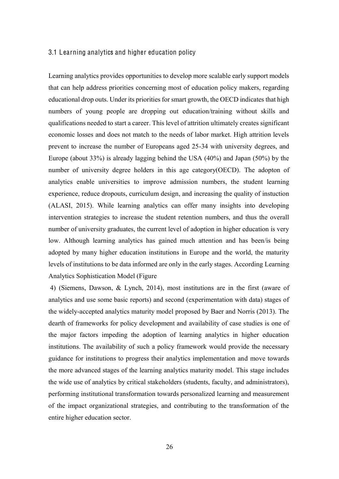### 3.1 Learning analytics and higher education policy

Learning analytics provides opportunities to develop more scalable early support models that can help address priorities concerning most of education policy makers, regarding educational drop outs. Under its priorities for smart growth, the OECD indicates that high numbers of young people are dropping out education/training without skills and qualifications needed to start a career. This level of attrition ultimately creates significant economic losses and does not match to the needs of labor market. High attrition levels prevent to increase the number of Europeans aged 25-34 with university degrees, and Europe (about 33%) is already lagging behind the USA (40%) and Japan (50%) by the number of university degree holders in this age category(OECD). The adopton of analytics enable universities to improve admission numbers, the student learning experience, reduce dropouts, curriculum design, and increasing the quality of instuction (ALASI, 2015). While learning analytics can offer many insights into developing intervention strategies to increase the student retention numbers, and thus the overall number of university graduates, the current level of adoption in higher education is very low. Although learning analytics has gained much attention and has been/is being adopted by many higher education institutions in Europe and the world, the maturity levels of institutions to be data informed are only in the early stages. According Learning Analytics Sophistication Model (Figure

4) (Siemens, Dawson, & Lynch, 2014), most institutions are in the first (aware of analytics and use some basic reports) and second (experimentation with data) stages of the widely-accepted analytics maturity model proposed by Baer and Norris (2013). The dearth of frameworks for policy development and availability of case studies is one of the major factors impeding the adoption of learning analytics in higher education institutions. The availability of such a policy framework would provide the necessary guidance for institutions to progress their analytics implementation and move towards the more advanced stages of the learning analytics maturity model. This stage includes the wide use of analytics by critical stakeholders (students, faculty, and administrators), performing institutional transformation towards personalized learning and measurement of the impact organizational strategies, and contributing to the transformation of the entire higher education sector.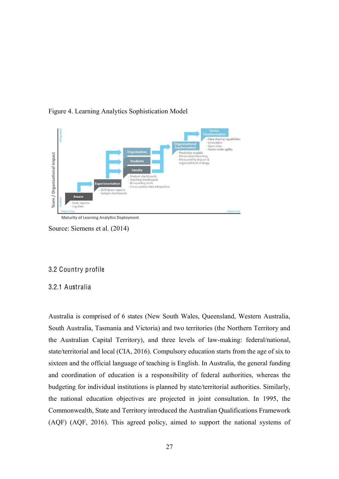

Figure 4. Learning Analytics Sophistication Model

Source: Siemens et al. (2014)

# 3.2 Country profile

# 3.2.1 Australia

Australia is comprised of 6 states (New South Wales, Queensland, Western Australia, South Australia, Tasmania and Victoria) and two territories (the Northern Territory and the Australian Capital Territory), and three levels of law-making: federal/national, state/territorial and local (CIA, 2016). Compulsory education starts from the age of six to sixteen and the official language of teaching is English. In Australia, the general funding and coordination of education is a responsibility of federal authorities, whereas the budgeting for individual institutions is planned by state/territorial authorities. Similarly, the national education objectives are projected in joint consultation. In 1995, the Commonwealth, State and Territory introduced the Australian Qualifications Framework (AQF) (AQF, 2016). This agreed policy, aimed to support the national systems of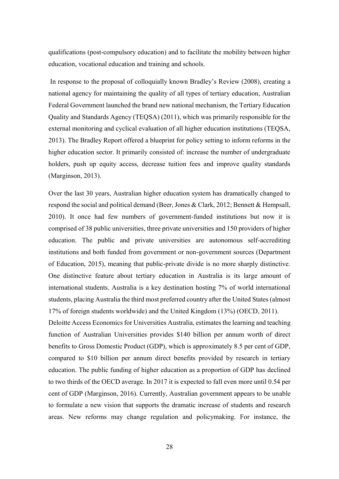qualifications (post-compulsory education) and to facilitate the mobility between higher education, vocational education and training and schools.

In response to the proposal of colloquially known Bradley's Review (2008), creating a national agency for maintaining the quality of all types of tertiary education, Australian Federal Government launched the brand new national mechanism, the Tertiary Education Quality and Standards Agency (TEQSA) (2011), which was primarily responsible for the external monitoring and cyclical evaluation of all higher education institutions (TEQSA, 2013). The Bradley Report offered a blueprint for policy setting to inform reforms in the higher education sector. It primarily consisted of: increase the number of undergraduate holders, push up equity access, decrease tuition fees and improve quality standards (Marginson, 2013).

Over the last 30 years, Australian higher education system has dramatically changed to respond the social and political demand (Beer, Jones & Clark, 2012; Bennett & Hempsall, 2010). It once had few numbers of government-funded institutions but now it is comprised of 38 public universities, three private universities and 150 providers of higher education. The public and private universities are autonomous self-accrediting institutions and both funded from government or non-government sources (Department of Education, 2015), meaning that public-private divide is no more sharply distinctive. One distinctive feature about tertiary education in Australia is its large amount of international students. Australia is a key destination hosting 7% of world international students, placing Australia the third most preferred country after the United States (almost 17% of foreign students worldwide) and the United Kingdom (13%) (OECD, 2011).

Deloitte Access Economics for Universities Australia, estimates the learning and teaching function of Australian Universities provides \$140 billion per annum worth of direct benefits to Gross Domestic Product (GDP), which is approximately 8.5 per cent of GDP, compared to \$10 billion per annum direct benefits provided by research in tertiary education. The public funding of higher education as a proportion of GDP has declined to two thirds of the OECD average. In 2017 it is expected to fall even more until 0.54 per cent of GDP (Marginson, 2016). Currently, Australian government appears to be unable to formulate a new vision that supports the dramatic increase of students and research areas. New reforms may change regulation and policymaking. For instance, the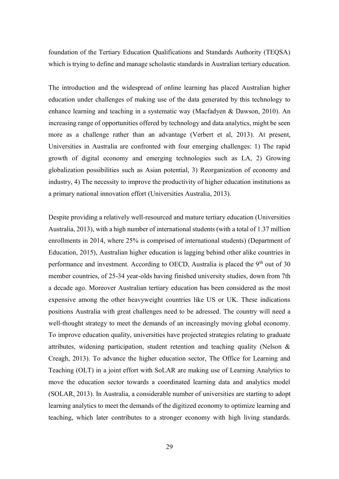foundation of the Tertiary Education Qualifications and Standards Authority (TEQSA) which is trying to define and manage scholastic standards in Australian tertiary education.

The introduction and the widespread of online learning has placed Australian higher education under challenges of making use of the data generated by this technology to enhance learning and teaching in a systematic way (Macfadyen & Dawson, 2010). An increasing range of opportunities offered by technology and data analytics, might be seen more as a challenge rather than an advantage (Verbert et al, 2013). At present, Universities in Australia are confronted with four emerging challenges: 1) The rapid growth of digital economy and emerging technologies such as LA, 2) Growing globalization possibilities such as Asian potential, 3) Reorganization of economy and industry, 4) The necessity to improve the productivity of higher education institutions as a primary national innovation effort (Universities Australia, 2013).

Despite providing a relatively well-resourced and mature tertiary education (Universities Australia, 2013), with a high number of international students (with a total of 1.37 million enrollments in 2014, where 25% is comprised of international students) (Department of Education, 2015), Australian higher education is lagging behind other alike countries in performance and investment. According to OECD, Australia is placed the  $9<sup>th</sup>$  out of 30 member countries, of 25-34 year-olds having finished university studies, down from 7th a decade ago. Moreover Australian tertiary education has been considered as the most expensive among the other heavyweight countries like US or UK. These indications positions Australia with great challenges need to be adressed. The country will need a well-thought strategy to meet the demands of an increasingly moving global economy. To improve education quality, universities have projected strategies relating to graduate attributes, widening participation, student retention and teaching quality (Nelson & Creagh, 2013). To advance the higher education sector, The Office for Learning and Teaching (OLT) in a joint effort with SoLAR are making use of Learning Analytics to move the education sector towards a coordinated learning data and analytics model (SOLAR, 2013). In Australia, a considerable number of universities are starting to adopt learning analytics to meet the demands of the digitized economy to optimize learning and teaching, which later contributes to a stronger economy with high living standards.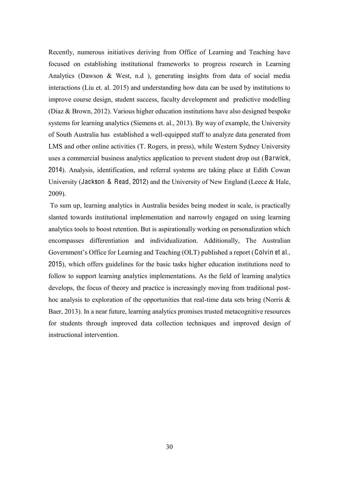Recently, numerous initiatives deriving from Office of Learning and Teaching have focused on establishing institutional frameworks to progress research in Learning Analytics (Dawson & West, n.d ), generating insights from data of social media interactions (Liu et. al. 2015) and understanding how data can be used by institutions to improve course design, student success, faculty development and predictive modelling (Diaz & Brown, 2012). Various higher education institutions have also designed bespoke systems for learning analytics (Siemens et. al., 2013). By way of example, the University of South Australia has established a well-equipped staff to analyze data generated from LMS and other online activities (T. Rogers, in press), while Western Sydney University uses a commercial business analytics application to prevent student drop out (Barwick, 2014). Analysis, identification, and referral systems are taking place at Edith Cowan University (Jackson & Read, 2012) and the University of New England (Leece & Hale, 2009).

To sum up, learning analytics in Australia besides being modest in scale, is practically slanted towards institutional implementation and narrowly engaged on using learning analytics tools to boost retention. But is aspirationally working on personalization which encompasses differentiation and individualization. Additionally, The Australian Government's Office for Learning and Teaching (OLT) published a report (Colvin et al., 2015), which offers guidelines for the basic tasks higher education institutions need to follow to support learning analytics implementations. As the field of learning analytics develops, the focus of theory and practice is increasingly moving from traditional posthoc analysis to exploration of the opportunities that real-time data sets bring (Norris & Baer, 2013). In a near future, learning analytics promises trusted metacognitive resources for students through improved data collection techniques and improved design of instructional intervention.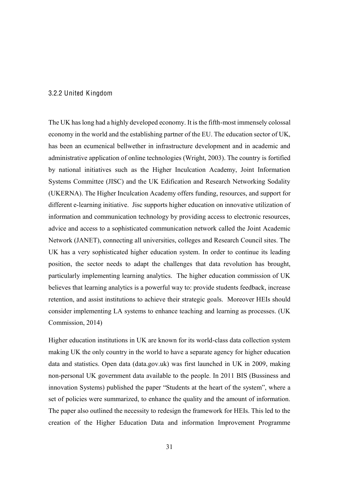### 3.2.2 United Kingdom

The UK has long had a highly developed economy. It is the fifth-most immensely colossal economy in the world and the establishing partner of the EU. The education sector of UK, has been an ecumenical bellwether in infrastructure development and in academic and administrative application of online technologies (Wright, 2003). The country is fortified by national initiatives such as the Higher Inculcation Academy, Joint Information Systems Committee (JISC) and the UK Edification and Research Networking Sodality (UKERNA). The Higher Inculcation Academy offers funding, resources, and support for different e-learning initiative. Jisc supports higher education on innovative utilization of information and communication technology by providing access to electronic resources, advice and access to a sophisticated communication network called the Joint Academic Network (JANET), connecting all universities, colleges and Research Council sites. The UK has a very sophisticated higher education system. In order to continue its leading position, the sector needs to adapt the challenges that data revolution has brought, particularly implementing learning analytics. The higher education commission of UK believes that learning analytics is a powerful way to: provide students feedback, increase retention, and assist institutions to achieve their strategic goals. Moreover HEIs should consider implementing LA systems to enhance teaching and learning as processes. (UK Commission, 2014)

Higher education institutions in UK are known for its world-class data collection system making UK the only country in the world to have a separate agency for higher education data and statistics. Open data (data.gov.uk) was first launched in UK in 2009, making non-personal UK government data available to the people. In 2011 BIS (Bussiness and innovation Systems) published the paper "Students at the heart of the system", where a set of policies were summarized, to enhance the quality and the amount of information. The paper also outlined the necessity to redesign the framework for HEIs. This led to the creation of the Higher Education Data and information Improvement Programme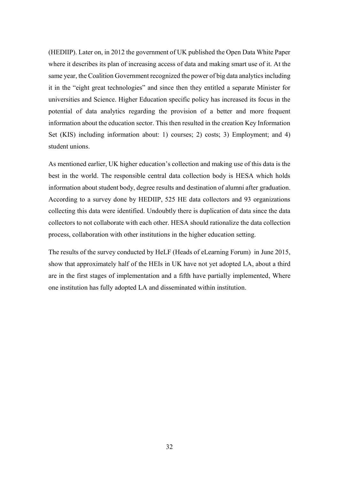(HEDIIP). Later on, in 2012 the government of UK published the Open Data White Paper where it describes its plan of increasing access of data and making smart use of it. At the same year, the Coalition Government recognized the power of big data analytics including it in the "eight great technologies" and since then they entitled a separate Minister for universities and Science. Higher Education specific policy has increased its focus in the potential of data analytics regarding the provision of a better and more frequent information about the education sector. This then resulted in the creation Key Information Set (KIS) including information about: 1) courses; 2) costs; 3) Employment; and 4) student unions.

As mentioned earlier, UK higher education's collection and making use of this data is the best in the world. The responsible central data collection body is HESA which holds information about student body, degree results and destination of alumni after graduation. According to a survey done by HEDIIP, 525 HE data collectors and 93 organizations collecting this data were identified. Undoubtly there is duplication of data since the data collectors to not collaborate with each other. HESA should rationalize the data collection process, collaboration with other institutions in the higher education setting.

The results of the survey conducted by HeLF (Heads of eLearning Forum) in June 2015, show that approximately half of the HEIs in UK have not yet adopted LA, about a third are in the first stages of implementation and a fifth have partially implemented, Where one institution has fully adopted LA and disseminated within institution.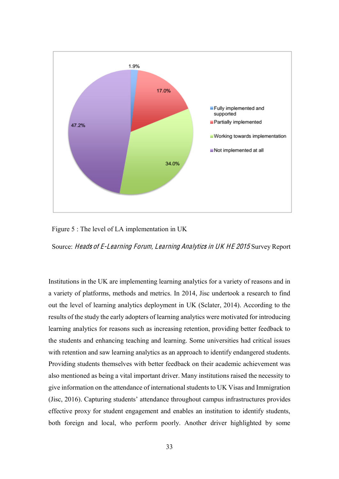

Figure 5 : The level of LA implementation in UK

Source: Head<sup>s</sup> <sup>o</sup>f E-Learning Forum, Learning Analytic<sup>s</sup> in UK HE 2015 Survey Report

Institutions in the UK are implementing learning analytics for a variety of reasons and in a variety of platforms, methods and metrics. In 2014, Jisc undertook a research to find out the level of learning analytics deployment in UK (Sclater, 2014). According to the results of the study the early adopters of learning analytics were motivated for introducing learning analytics for reasons such as increasing retention, providing better feedback to the students and enhancing teaching and learning. Some universities had critical issues with retention and saw learning analytics as an approach to identify endangered students. Providing students themselves with better feedback on their academic achievement was also mentioned as being a vital important driver. Many institutions raised the necessity to give information on the attendance of international students to UK Visas and Immigration (Jisc, 2016). Capturing students' attendance throughout campus infrastructures provides effective proxy for student engagement and enables an institution to identify students, both foreign and local, who perform poorly. Another driver highlighted by some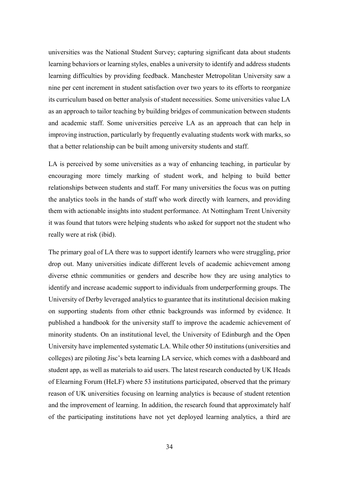universities was the National Student Survey; capturing significant data about students learning behaviors or learning styles, enables a university to identify and address students learning difficulties by providing feedback. Manchester Metropolitan University saw a nine per cent increment in student satisfaction over two years to its efforts to reorganize its curriculum based on better analysis of student necessities. Some universities value LA as an approach to tailor teaching by building bridges of communication between students and academic staff. Some universities perceive LA as an approach that can help in improving instruction, particularly by frequently evaluating students work with marks, so that a better relationship can be built among university students and staff.

LA is perceived by some universities as a way of enhancing teaching, in particular by encouraging more timely marking of student work, and helping to build better relationships between students and staff. For many universities the focus was on putting the analytics tools in the hands of staff who work directly with learners, and providing them with actionable insights into student performance. At Nottingham Trent University it was found that tutors were helping students who asked for support not the student who really were at risk (ibid).

The primary goal of LA there was to support identify learners who were struggling, prior drop out. Many universities indicate different levels of academic achievement among diverse ethnic communities or genders and describe how they are using analytics to identify and increase academic support to individuals from underperforming groups. The University of Derby leveraged analytics to guarantee that its institutional decision making on supporting students from other ethnic backgrounds was informed by evidence. It published a handbook for the university staff to improve the academic achievement of minority students. On an institutional level, the University of Edinburgh and the Open University have implemented systematic LA. While other 50 institutions (universities and colleges) are piloting Jisc's beta learning LA service, which comes with a dashboard and student app, as well as materials to aid users. The latest research conducted by UK Heads of Elearning Forum (HeLF) where 53 institutions participated, observed that the primary reason of UK universities focusing on learning analytics is because of student retention and the improvement of learning. In addition, the research found that approximately half of the participating institutions have not yet deployed learning analytics, a third are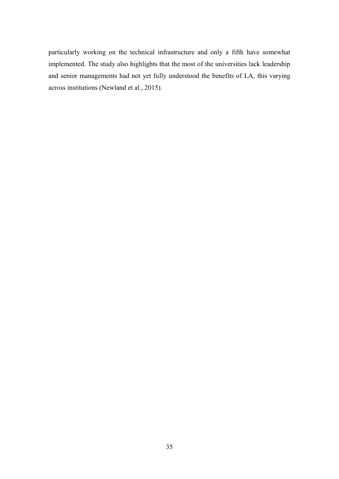particularly working on the technical infrastructure and only a fifth have somewhat implemented. The study also highlights that the most of the universities lack leadership and senior managements had not yet fully understood the benefits of LA, this varying across institutions (Newland et al., 2015).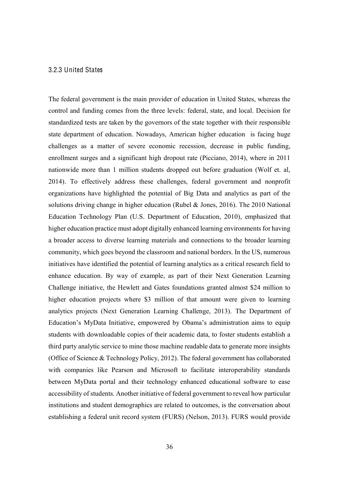#### 3.2.3 United States

The federal government is the main provider of education in United States, whereas the control and funding comes from the three levels: federal, state, and local. Decision for standardized tests are taken by the governors of the state together with their responsible state department of education. Nowadays, American higher education is facing huge challenges as a matter of severe economic recession, decrease in public funding, enrollment surges and a significant high dropout rate (Picciano, 2014), where in 2011 nationwide more than 1 million students dropped out before graduation (Wolf et. al, 2014). To effectively address these challenges, federal government and nonprofit organizations have highlighted the potential of Big Data and analytics as part of the solutions driving change in higher education (Rubel & Jones, 2016). The 2010 National Education Technology Plan (U.S. Department of Education, 2010), emphasized that higher education practice must adopt digitally enhanced learning environments for having a broader access to diverse learning materials and connections to the broader learning community, which goes beyond the classroom and national borders. In the US, numerous initiatives have identified the potential of learning analytics as a critical research field to enhance education. By way of example, as part of their Next Generation Learning Challenge initiative, the Hewlett and Gates foundations granted almost \$24 million to higher education projects where \$3 million of that amount were given to learning analytics projects (Next Generation Learning Challenge, 2013). The Department of Education's MyData Initiative, empowered by Obama's administration aims to equip students with downloadable copies of their academic data, to foster students establish a third party analytic service to mine those machine readable data to generate more insights (Office of Science & Technology Policy, 2012). The federal government has collaborated with companies like Pearson and Microsoft to facilitate interoperability standards between MyData portal and their technology enhanced educational software to ease accessibility of students. Another initiative of federal government to reveal how particular institutions and student demographics are related to outcomes, is the conversation about establishing a federal unit record system (FURS) (Nelson, 2013). FURS would provide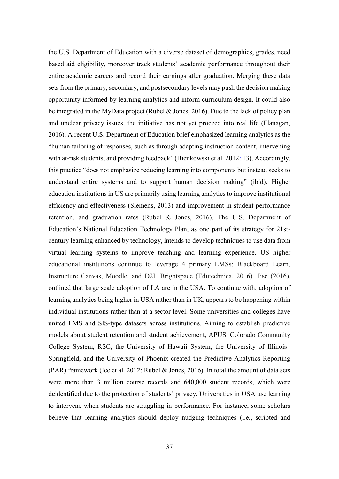the U.S. Department of Education with a diverse dataset of demographics, grades, need based aid eligibility, moreover track students' academic performance throughout their entire academic careers and record their earnings after graduation. Merging these data sets from the primary, secondary, and postsecondary levels may push the decision making opportunity informed by learning analytics and inform curriculum design. It could also be integrated in the MyData project (Rubel & Jones, 2016). Due to the lack of policy plan and unclear privacy issues, the initiative has not yet proceed into real life (Flanagan, 2016). A recent U.S. Department of Education brief emphasized learning analytics as the "human tailoring of responses, such as through adapting instruction content, intervening with at-risk students, and providing feedback" (Bienkowski et al. 2012: 13). Accordingly, this practice "does not emphasize reducing learning into components but instead seeks to understand entire systems and to support human decision making" (ibid). Higher education institutions in US are primarily using learning analytics to improve institutional efficiency and effectiveness (Siemens, 2013) and improvement in student performance retention, and graduation rates (Rubel & Jones, 2016). The U.S. Department of Education's National Education Technology Plan, as one part of its strategy for 21stcentury learning enhanced by technology, intends to develop techniques to use data from virtual learning systems to improve teaching and learning experience. US higher educational institutions continue to leverage 4 primary LMSs: Blackboard Learn, Instructure Canvas, Moodle, and D2L Brightspace (Edutechnica, 2016). Jisc (2016), outlined that large scale adoption of LA are in the USA. To continue with, adoption of learning analytics being higher in USA rather than in UK, appears to be happening within individual institutions rather than at a sector level. Some universities and colleges have united LMS and SIS-type datasets across institutions. Aiming to establish predictive models about student retention and student achievement, APUS, Colorado Community College System, RSC, the University of Hawaii System, the University of Illinois-Springfield, and the University of Phoenix created the Predictive Analytics Reporting (PAR) framework (Ice et al. 2012; Rubel & Jones, 2016). In total the amount of data sets were more than 3 million course records and 640,000 student records, which were deidentified due to the protection of students' privacy. Universities in USA use learning to intervene when students are struggling in performance. For instance, some scholars believe that learning analytics should deploy nudging techniques (i.e., scripted and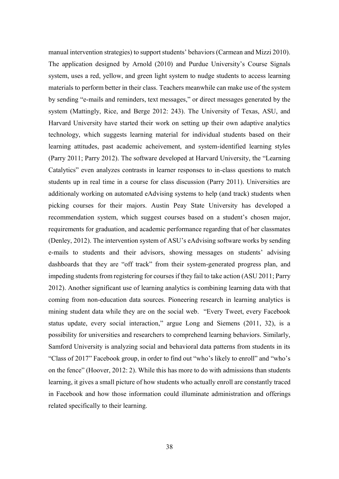manual intervention strategies) to support students' behaviors (Carmean and Mizzi 2010). The application designed by Arnold (2010) and Purdue University's Course Signals system, uses a red, yellow, and green light system to nudge students to access learning materials to perform better in their class. Teachers meanwhile can make use of the system by sending "e-mails and reminders, text messages," or direct messages generated by the system (Mattingly, Rice, and Berge 2012: 243). The University of Texas, ASU, and Harvard University have started their work on setting up their own adaptive analytics technology, which suggests learning material for individual students based on their learning attitudes, past academic acheivement, and system-identified learning styles (Parry 2011; Parry 2012). The software developed at Harvard University, the "Learning" Catalytics" even analyzes contrasts in learner responses to in-class questions to match students up in real time in a course for class discussion (Parry 2011). Universities are additionaly working on automated eAdvising systems to help (and track) students when picking courses for their majors. Austin Peay State University has developed a recommendation system, which suggest courses based on a student's chosen major, requirements for graduation, and academic performance regarding that of her classmates (Denley, 2012). The intervention system of ASU's eAdvising software works by sending e-mails to students and their advisors, showing messages on students' advising dashboards that they are "off track" from their system-generated progress plan, and impeding students from registering for courses if they fail to take action (ASU 2011; Parry 2012). Another significant use of learning analytics is combining learning data with that coming from non-education data sources. Pioneering research in learning analytics is mining student data while they are on the social web. "Every Tweet, every Facebook status update, every social interaction," argue Long and Siemens (2011, 32), is a possibility for universities and researchers to comprehend learning behaviors. Similarly, Samford University is analyzing social and behavioral data patterns from students in its "Class of 2017" Facebook group, in order to find out "who's likely to enroll" and "who's on the fence" (Hoover, 2012: 2). While this has more to do with admissions than students learning, it gives a small picture of how students who actually enroll are constantly traced in Facebook and how those information could illuminate administration and offerings related specifically to their learning.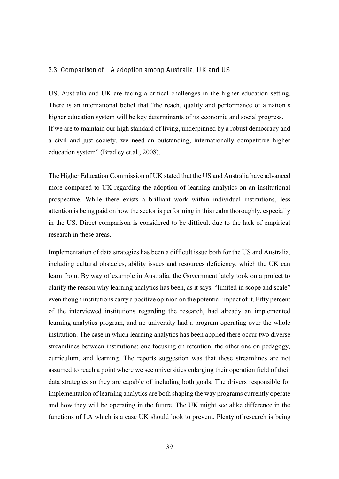#### 3.3. Comparison of L A adoption among Australia, U K and US

US, Australia and UK are facing a critical challenges in the higher education setting. There is an international belief that "the reach, quality and performance of a nation's higher education system will be key determinants of its economic and social progress. If we are to maintain our high standard of living, underpinned by a robust democracy and a civil and just society, we need an outstanding, internationally competitive higher education system" (Bradley et.al., 2008).

The Higher Education Commission of UK stated that the US and Australia have advanced more compared to UK regarding the adoption of learning analytics on an institutional prospective. While there exists a brilliant work within individual institutions, less attention is being paid on how the sector is performing in this realm thoroughly, especially in the US. Direct comparison is considered to be difficult due to the lack of empirical research in these areas.

Implementation of data strategies has been a difficult issue both for the US and Australia, including cultural obstacles, ability issues and resources deficiency, which the UK can learn from. By way of example in Australia, the Government lately took on a project to clarify the reason why learning analytics has been, as it says, "limited in scope and scale" even though institutions carry a positive opinion on the potential impact of it. Fifty percent of the interviewed institutions regarding the research, had already an implemented learning analytics program, and no university had a program operating over the whole institution. The case in which learning analytics has been applied there occur two diverse streamlines between institutions: one focusing on retention, the other one on pedagogy, curriculum, and learning. The reports suggestion was that these streamlines are not assumed to reach a point where we see universities enlarging their operation field of their data strategies so they are capable of including both goals. The drivers responsible for implementation of learning analytics are both shaping the way programs currently operate and how they will be operating in the future. The UK might see alike difference in the functions of LA which is a case UK should look to prevent. Plenty of research is being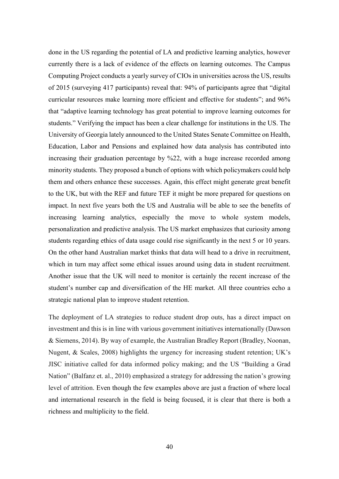done in the US regarding the potential of LA and predictive learning analytics, however currently there is a lack of evidence of the effects on learning outcomes. The Campus Computing Project conducts a yearly survey of CIOs in universities across the US, results of 2015 (surveying 417 participants) reveal that: 94% of participants agree that "digital curricular resources make learning more efficient and effective for students"; and 96% that "adaptive learning technology has great potential to improve learning outcomes for students." Verifying the impact has been a clear challenge for institutions in the US. The University of Georgia lately announced to the United States Senate Committee on Health, Education, Labor and Pensions and explained how data analysis has contributed into increasing their graduation percentage by %22, with a huge increase recorded among minority students. They proposed a bunch of options with which policymakers could help them and others enhance these successes. Again, this effect might generate great benefit to the UK, but with the REF and future TEF it might be more prepared for questions on impact. In next five years both the US and Australia will be able to see the benefits of increasing learning analytics, especially the move to whole system models, personalization and predictive analysis. The US market emphasizes that curiosity among students regarding ethics of data usage could rise significantly in the next 5 or 10 years. On the other hand Australian market thinks that data will head to a drive in recruitment, which in turn may affect some ethical issues around using data in student recruitment. Another issue that the UK will need to monitor is certainly the recent increase of the student's number cap and diversification of the HE market. All three countries echo a strategic national plan to improve student retention.

The deployment of LA strategies to reduce student drop outs, has a direct impact on investment and this is in line with various government initiatives internationally (Dawson & Siemens, 2014). By way of example, the Australian Bradley Report (Bradley, Noonan, Nugent,  $\&$  Scales, 2008) highlights the urgency for increasing student retention; UK's JISC initiative called for data informed policy making; and the US "Building a Grad" Nation" (Balfanz et. al., 2010) emphasized a strategy for addressing the nation's growing level of attrition. Even though the few examples above are just a fraction of where local and international research in the field is being focused, it is clear that there is both a richness and multiplicity to the field.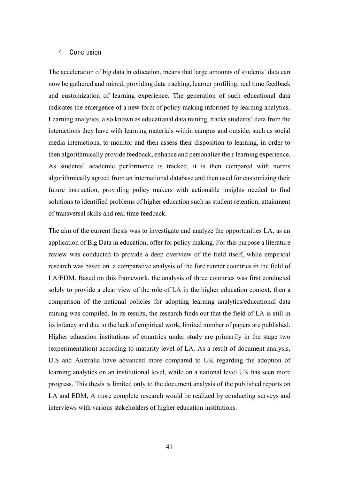### <span id="page-40-0"></span>4. Conclusion

The acceleration of big data in education, means that large amounts of students' data can now be gathered and mined, providing data tracking, learner profiling, real time feedback and customization of learning experience. The generation of such educational data indicates the emergence of a new form of policy making informed by learning analytics. Learning analytics, also known as educational data mining, tracks students' data from the interactions they have with learning materials within campus and outside, such as social media interactions, to monitor and then assess their disposition to learning, in order to then algorithmically provide feedback, enhance and personalize their learning experience. As students' academic performance is tracked, it is then compared with norms algorithmically agreed from an international database and then used for customizing their future instruction, providing policy makers with actionable insights needed to find solutions to identified problems of higher education such as student retention, attainment of transversal skills and real time feedback.

The aim of the current thesis was to investigate and analyze the opportunities LA, as an application of Big Data in education, offer for policy making. For this purpose a literature review was conducted to provide a deep overview of the field itself, while empirical research was based on a comparative analysis of the fore runner countries in the field of LA/EDM. Based on this framework, the analysis of three countries was first conducted solely to provide a clear view of the role of LA in the higher education context, then a comparison of the national policies for adopting learning analytics/educational data mining was compiled. In its results, the research finds out that the field of LA is still in its infancy and due to the lack of empirical work, limited number of papers are published. Higher education institutions of countries under study are primarily in the stage two (experimentation) according to maturity level of LA. As a result of document analysis, U.S and Australia have advanced more compared to UK regarding the adoption of learning analytics on an institutional level, while on a national level UK has seen more progress. This thesis is limited only to the document analysis of the published reports on LA and EDM, A more complete research would be realized by conducting surveys and interviews with various stakeholders of higher education institutions.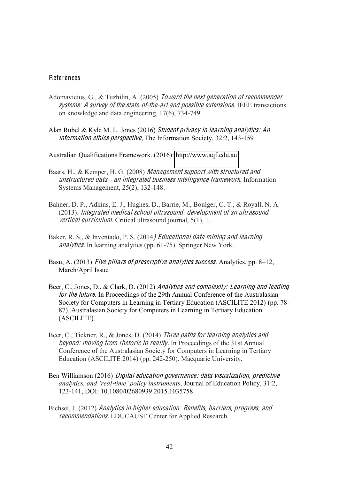# <span id="page-41-0"></span>References

- Adomavicius, G., & Tuzhilin, A. (2005) Toward <sup>t</sup>h<sup>e</sup> <sup>n</sup>ex<sup>t</sup> generation <sup>o</sup>f <sup>r</sup>ecommende<sup>r</sup> systems: A survey of the state-of-the-art and possible extensions. IEEE transactions on knowledge and data engineering, 17(6), 734-749.
- Alan Rubel & Kyle M. L. Jones (2016) Studen<sup>t</sup> priva<sup>c</sup>y in learning analytics: An information ethics perspective, The Information Society, 32:2, 143-159

Australian Qualifications Framework. (2016): [http://www.aqf.edu.au](http://www.aqf.edu.au/)

- Baars, H., & Kemper, H. G. (2008) Manag<sup>e</sup>men<sup>t</sup> <sup>s</sup>uppor<sup>t</sup> with structured and unstructured data—an integrated business intelligence framework. Information Systems Management, 25(2), 132-148.
- Bahner, D. P., Adkins, E. J., Hughes, D., Barrie, M., Boulger, C. T., & Royall, N. A. (2013). Integrated <sup>m</sup>edical <sup>s</sup>chool ultrasound: dev<sup>e</sup>lopm<sup>e</sup>n<sup>t</sup> <sup>o</sup>f an ultrasound vertical curriculum. Critical ultrasound journal, 5(1), 1.
- Baker, R. S., & Inventado, P. S. (2014) Educational dat<sup>a</sup> mining and learning analytics. In learning analytics (pp. 61-75). Springer New York.
- Basu, A. (2013) Five pillars of prescriptive analytics success. Analytics, pp. 8–12, March/April Issue
- Beer, C., Jones, D., & Clark, D. (2012) Analytics and complexity: Learning and leading for the future. In Proceedings of the 29th Annual Conference of the Australasian Society for Computers in Learning in Tertiary Education (ASCILITE 2012) (pp. 78- 87). Australasian Society for Computers in Learning in Tertiary Education (ASCILITE).
- Beer, C., Tickner, R., & Jones, D. (2014) Three paths for learning analytics and beyond: moving from rhetoric to reality. In Proceedings of the 31st Annual Conference of the Australasian Society for Computers in Learning in Tertiary Education (ASCILITE 2014) (pp. 242-250). Macquarie University.
- Ben Williamson (2016) Digital <sup>e</sup>ducation governance: dat<sup>a</sup> visualization, predictiv<sup>e</sup> *diaDuparties, and 'real-time' policy instruments, Journal of Education Policy, 31:2,* 123-141, DOI: 10.1080/02680939.2015.1035758
- Bichsel, J. (2012) Analytic<sup>s</sup> in high<sup>e</sup><sup>r</sup> <sup>e</sup>ducation: Benefits, barriers, progress, and <sup>r</sup>ecommendations. EDUCAUSE Center for Applied Research.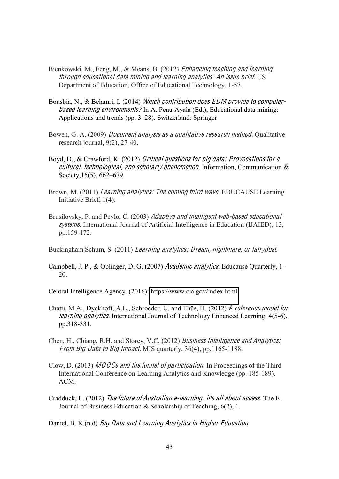- Bienkowski, M., Feng, M., & Means, B. (2012) Enhancing <sup>t</sup>ea<sup>c</sup>hing and learning <sup>t</sup>hrough <sup>e</sup>ducational dat<sup>a</sup> mining and learning analytics: An issu<sup>e</sup> brief. US Department of Education, Office of Educational Technology, 1-57.
- Bousbia, N., & Belamri, I. (2014) Which contribution does EDM provide to computerbased learning <sup>e</sup>nvironments? In A. Pena-Ayala (Ed.), Educational data mining: Applications and trends (pp. 3–28). Switzerland: Springer
- Bowen, G. A. (2009) *Document analysis as a qualitative research method*. Qualitative research journal, 9(2), 27-40.
- Boyd, D., & Crawford, K. (2012) Critical question<sup>s</sup> for big data: Provocation<sup>s</sup> for <sup>a</sup> <sup>c</sup>ultural, <sup>t</sup>echnological, and <sup>s</sup>cholarly ph<sup>e</sup>nomenon. Information, Communication & Society,  $15(5)$ ,  $662-679$ .
- Brown, M. (2011) Learning analytics: The coming third wave. EDUCAUSE Learning Initiative Brief, 1(4).
- Brusilovsky, P. and Peylo, C. (2003) Adaptive and intelligent web-based educational <sup>s</sup>ystem<sup>s</sup>. International Journal of Artificial Intelligence in Education (IJAIED), 13, pp.159-172.
- Buckingham Schum, S. (2011) Learning analytics: Dream, nightmare, or fairydust.
- Campbell, J. P., & Oblinger, D. G. (2007) Academi<sup>c</sup> analytic<sup>s</sup>. Educause Quarterly, 1- 20.

Central Intelligence Agency. (2016):<https://www.cia.gov/index.html>

- Chatti, M.A., Dyckhoff, A.L., Schroeder, U. and Thüs, H. (2012) A <sup>r</sup>eference model for learning analytic<sup>s</sup>. International Journal of Technology Enhanced Learning, 4(5-6), pp.318-331.
- Chen, H., Chiang, R.H. and Storey, V.C. (2012) Business Intellig<sup>e</sup>nce and Analytics: From Big Data to Big Impact. MIS quarterly, 36(4), pp.1165-1188.
- Clow, D. (2013) MOOC<sup>s</sup> and <sup>t</sup>h<sup>e</sup> funnel <sup>o</sup>f participation. In Proceedings of the Third International Conference on Learning Analytics and Knowledge (pp. 185-189). ACM.
- Cradduck, L. (2012) Th<sup>e</sup> futur<sup>e</sup> <sup>o</sup>f Australian <sup>e</sup>-learning: it'<sup>s</sup> all abou<sup>t</sup> <sup>a</sup>ccess. The E-Journal of Business Education & Scholarship of Teaching, 6(2), 1.

Daniel, B. K.(n.d) Big Dat<sup>a</sup> and Learning Analytic<sup>s</sup> in High<sup>e</sup><sup>r</sup> Education.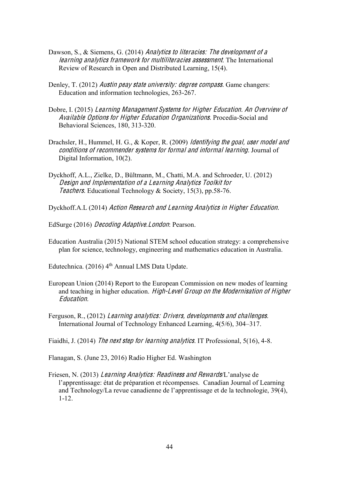- Dawson, S., & Siemens, G. (2014) Analytics to literacies: The development of a learning analytic<sup>s</sup> framework for multiliteracie<sup>s</sup> <sup>a</sup>ssessmen<sup>t</sup>. The International Review of Research in Open and Distributed Learning, 15(4).
- Denley, T. (2012) Austin peay state university: degree compass. Game changers: Education and information technologies, 263-267.
- Dobre, I. (2015) Learning Manag<sup>e</sup>men<sup>t</sup> System<sup>s</sup> for High<sup>e</sup><sup>r</sup> Education. An Overvie<sup>w</sup> <sup>o</sup>f Availabl<sup>e</sup> Option<sup>s</sup> for High<sup>e</sup><sup>r</sup> Education Organizations. Procedia-Social and Behavioral Sciences, 180, 313-320.
- Drachsler, H., Hummel, H. G., & Koper, R. (2009) *Identifying the goal, user model and* <sup>c</sup>ondition<sup>s</sup> <sup>o</sup>f <sup>r</sup>ecommende<sup>r</sup> <sup>s</sup>ystem<sup>s</sup> for formal and informal learning. Journal of Digital Information, 10(2).
- Dyckhoff, A.L., Zielke, D., Bültmann, M., Chatti, M.A. and Schroeder, U. (2012) De<sup>s</sup>ign and Impl<sup>e</sup>mentation <sup>o</sup>f <sup>a</sup> Learning Analytic<sup>s</sup> Toolkit for Teachers. Educational Technology & Society, 15(3), pp.58-76.
- Dyckhoff.A.L (2014) Action Research and Learning Analytic<sup>s</sup> in High<sup>e</sup><sup>r</sup> Education.
- EdSurge (2016) Decoding Adaptive.London: Pearson.
- Education Australia (2015) National STEM school education strategy: a comprehensive plan for science, technology, engineering and mathematics education in Australia.
- Edutechnica. (2016)  $4<sup>th</sup>$  Annual LMS Data Update.
- European Union (2014) Report to the European Commission on new modes of learning and teaching in higher education. High-L<sup>e</sup>vel Group on <sup>t</sup>h<sup>e</sup> Modernisation <sup>o</sup>f High<sup>e</sup><sup>r</sup> Education.
- Ferguson, R., (2012) Learning analytics: Drivers, dev<sup>e</sup>lopm<sup>e</sup>nts and <sup>c</sup>hallenges. International Journal of Technology Enhanced Learning,  $4(5/6)$ ,  $304-317$ .
- Fiaidhi, J. (2014) Th<sup>e</sup> <sup>n</sup>ex<sup>t</sup> step for learning analytic<sup>s</sup>. IT Professional, 5(16), 4-8.

Flanagan, S. (June 23, 2016) Radio Higher Ed. Washington

Friesen, N. (2013) Learning Analytics: Readiness and Rewards/L'analyse de l'apprentissage: état de préparation et récompenses. Canadian Journal of Learning and Technology/La revue canadienne de l'apprentissage et de la technologie, 39(4), 1-12.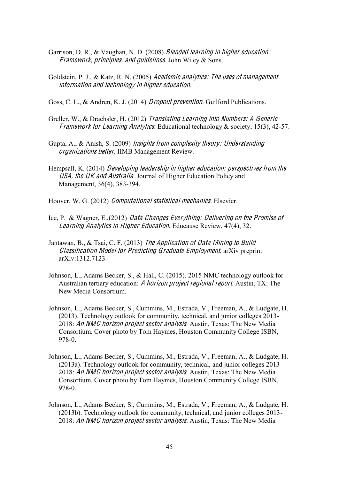- Garrison, D. R., & Vaughan, N. D. (2008) *Blended learning in higher education:* Framework, principles, and quidelines. John Wiley & Sons.
- Goldstein, P. J., & Katz, R. N. (2005) Academi<sup>c</sup> analytics: Th<sup>e</sup> <sup>u</sup>se<sup>s</sup> <sup>o</sup>f managemen<sup>t</sup> information and <sup>t</sup>echnology in high<sup>e</sup><sup>r</sup> <sup>e</sup>ducation.

Goss, C. L., & Andren, K. J. (2014) *Dropout prevention*. Guilford Publications.

- Greller, W., & Drachsler, H. (2012) Translating Learning int<sup>o</sup> Numbers: A Generi<sup>c</sup> Framework for Learning Analytics. Educational technology  $\&$  society, 15(3), 42-57.
- Gupta, A., & Anish, S. (2009) Insights from <sup>c</sup>omplexity <sup>t</sup>heory: Understanding organization<sup>s</sup> better. IIMB Management Review.
- Hempsall, K. (2014) Dev<sup>e</sup>loping leader<sup>s</sup>hip in high<sup>e</sup><sup>r</sup> <sup>e</sup>ducation: perspective<sup>s</sup> from <sup>t</sup>h<sup>e</sup> USA, <sup>t</sup>h<sup>e</sup> UK and Australia. Journal of Higher Education Policy and Management, 36(4), 383-394.

Hoover, W. G. (2012) Computational statistical <sup>m</sup>echanic<sup>s</sup>. Elsevier.

- Ice, P. & Wagner, E.,(2012) Dat<sup>a</sup> Change<sup>s</sup> Everything: Delivering on <sup>t</sup>h<sup>e</sup> Promis<sup>e</sup> <sup>o</sup>f Learning Analytic<sup>s</sup> in High<sup>e</sup><sup>r</sup> Education. Educause Review, 47(4), 32.
- Jantawan, B., & Tsai, C. F. (2013) Th<sup>e</sup> Appli<sup>c</sup>ation <sup>o</sup>f Dat<sup>a</sup> Mining <sup>t</sup><sup>o</sup> Build Classification Model for Predicting Graduat<sup>e</sup> Employm<sup>e</sup>n<sup>t</sup>. arXiv preprint arXiv:1312.7123.
- Johnson, L., Adams Becker, S., & Hall, C. (2015). 2015 NMC technology outlook for Australian tertiary education: A horizon projec<sup>t</sup> <sup>r</sup><sup>e</sup>gional <sup>r</sup>eport. Austin, TX: The New Media Consortium.
- Johnson, L., Adams Becker, S., Cummins, M., Estrada, V., Freeman, A., & Ludgate, H. (2013). Technology outlook for community, technical, and junior colleges 2013- 2018: An NMC horizon project sector analysis. Austin, Texas: The New Media Consortium. Cover photo by Tom Haymes, Houston Community College ISBN, 978-0.
- Johnson, L., Adams Becker, S., Cummins, M., Estrada, V., Freeman, A., & Ludgate, H. (2013a). Technology outlook for community, technical, and junior colleges 2013- 2018: An NMC horizon project sector analysis. Austin, Texas: The New Media Consortium. Cover photo by Tom Haymes, Houston Community College ISBN, 978-0.
- Johnson, L., Adams Becker, S., Cummins, M., Estrada, V., Freeman, A., & Ludgate, H. (2013b). Technology outlook for community, technical, and junior colleges 2013- 2018: An NMC horizon project sector analysis. Austin, Texas: The New Media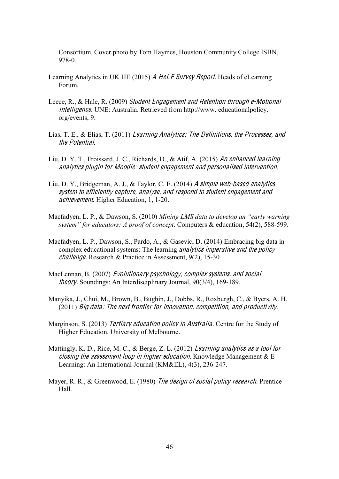Consortium. Cover photo by Tom Haymes, Houston Community College ISBN, 978-0.

- Learning Analytics in UK HE (2015) A HeLF Survey Report. Heads of eLearning Forum.
- Leece, R., & Hale, R. (2009) Studen<sup>t</sup> Engag<sup>e</sup>men<sup>t</sup> and Retention <sup>t</sup>hrough <sup>e</sup>-Motional Intellig<sup>e</sup>nce. UNE: Australia. Retrieved from http://www. educationalpolicy. org/events, 9.
- Lias, T. E., & Elias, T. (2011) Learning Analytics: Th<sup>e</sup> Definitions, <sup>t</sup>h<sup>e</sup> Processes, and the Potential.
- Liu, D. Y. T., Froissard, J. C., Richards, D., & Atif, A. (2015) An <sup>e</sup>nhanced learning analytic<sup>s</sup> plugin for Moodle: studen<sup>t</sup> <sup>e</sup>ngagemen<sup>t</sup> and personalised intervention.
- Liu, D. Y., Bridgeman, A. J., & Taylor, C. E. (2014) A <sup>s</sup>impl<sup>e</sup> <sup>w</sup>eb-based analytic<sup>s</sup> <sup>s</sup>yste<sup>m</sup> t<sup>o</sup> <sup>e</sup>fficiently <sup>c</sup>apture, analy<sup>s</sup>e, and <sup>r</sup>e<sup>s</sup>pond t<sup>o</sup> student <sup>e</sup>ngagement and <sup>a</sup>chievement. Higher Education, 1, 1-20.
- Macfadyen, L. P., & Dawson, S. (2010) *Mining LMS data to develop an "early warning system"* for educators: A proof of concept. Computers & education, 54(2), 588-599.
- Macfadyen, L. P., Dawson, S., Pardo, A., & Gasevic, D. (2014) Embracing big data in complex educational systems: The learning *analytics imperative and the policy* <sup>c</sup>hallenge. Research & Practice in Assessment, 9(2), 15-30
- MacLennan, B. (2007) Evolutionary psy<sup>c</sup>hology, <sup>c</sup>ompl<sup>e</sup><sup>x</sup> <sup>s</sup>ystems, and <sup>s</sup>ocial <sup>t</sup>heory. Soundings: An Interdisciplinary Journal, 90(3/4), 169-189.
- Manyika, J., Chui, M., Brown, B., Bughin, J., Dobbs, R., Roxburgh, C., & Byers, A. H. (2011) Big data: Th<sup>e</sup> <sup>n</sup>ex<sup>t</sup> frontie<sup>r</sup> for innovation, <sup>c</sup>ompetition, and productivity.
- Marginson, S. (2013) Tertiary education policy in Australia. Centre for the Study of Higher Education, University of Melbourne.
- Mattingly, K. D., Rice, M. C., & Berge, Z. L. (2012) Learning analytic<sup>s</sup> <sup>a</sup><sup>s</sup> <sup>a</sup> <sup>t</sup>ool for closing the assessment loop in higher education. Knowledge Management  $&E-$ Learning: An International Journal (KM&EL), 4(3), 236-247.
- Mayer, R. R., & Greenwood, E. (1980) The design of social policy research. Prentice Hall.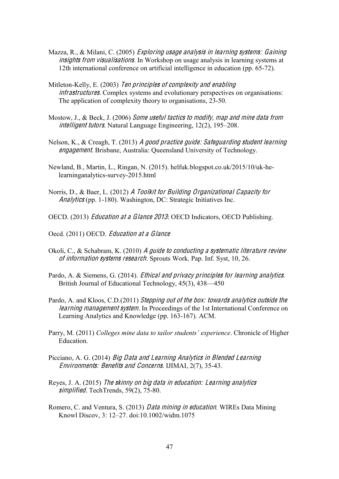- Mazza, R., & Milani, C. (2005) Exploring <sup>u</sup>sag<sup>e</sup> analysi<sup>s</sup> in learning <sup>s</sup>ystems: Gaining insights from visualisations. In Workshop on usage analysis in learning systems at 12th international conference on artificial intelligence in education (pp. 65-72).
- Mitleton-Kelly, E. (2003) Te<sup>n</sup> principle<sup>s</sup> <sup>o</sup>f <sup>c</sup>omplexity and <sup>e</sup>nabling infrastructures. Complex systems and evolutionary perspectives on organisations: The application of complexity theory to organisations, 23-50.
- Mostow, J., & Beck, J. (2006) Som<sup>e</sup> <sup>u</sup>seful <sup>t</sup>actic<sup>s</sup> <sup>t</sup><sup>o</sup> modify, map and min<sup>e</sup> dat<sup>a</sup> from *intelligent tutors.* Natural Language Engineering,  $12(2)$ ,  $195-208$ .
- Nelson, K., & Creagh, T. (2013) A good practice guid<sup>e</sup>: Safeguarding studen<sup>t</sup> learning <sup>e</sup>ngagement. Brisbane, Australia: Queensland University of Technology.
- Newland, B., Martin, L., Ringan, N. (2015). helfuk.blogspot.co.uk/2015/10/uk-helearninganalytics-survey-2015.html
- Norris, D., & Baer, L. (2012) A Toolki<sup>t</sup> for Building Organizational Capacity for Analytic<sup>s</sup> (pp. 1-180). Washington, DC: Strategic Initiatives Inc.
- OECD. (2013) Education <sup>a</sup><sup>t</sup> <sup>a</sup> Glance 2013: OECD Indicators, OECD Publishing.
- Oecd. (2011) OECD. Education <sup>a</sup><sup>t</sup> <sup>a</sup> Glance
- Okoli, C., & Schabram, K. (2010) A guide to conducting a systematic literature review <sup>o</sup>f information <sup>s</sup>ystem<sup>s</sup> <sup>r</sup>esearch. Sprouts Work. Pap. Inf. Syst, 10, 26.
- Pardo, A. & Siemens, G. (2014). Ethical and priva<sup>c</sup>y principle<sup>s</sup> for learning analytic<sup>s</sup>. British Journal of Educational Technology,  $45(3)$ ,  $438-450$
- Pardo, A. and Kloos, C.D.(2011) Stepping ou<sup>t</sup> <sup>o</sup>f <sup>t</sup>h<sup>e</sup> box: <sup>t</sup>oward<sup>s</sup> analytic<sup>s</sup> outsid<sup>e</sup> <sup>t</sup>h<sup>e</sup> learning management system. In Proceedings of the 1st International Conference on Learning Analytics and Knowledge (pp. 163-167). ACM.
- Parry, M. (2011) *Colleges mine data to tailor students' experience*. Chronicle of Higher Education.
- Picciano, A. G. (2014) Big Dat<sup>a</sup> and Learning Analytic<sup>s</sup> in Blended Learning Environments: Benefits and Concern<sup>s</sup>. IJIMAI, 2(7), 35-43.
- Reyes, J. A. (2015) Th<sup>e</sup> <sup>s</sup>kinny on big dat<sup>a</sup> in <sup>e</sup>ducation: Learning analytic<sup>s</sup> simplified. TechTrends, 59(2), 75-80.
- Romero, C. and Ventura, S. (2013) Dat<sup>a</sup> mining in <sup>e</sup>ducation. WIREs Data Mining Knowl Discov, 3: 12-27. doi:10.1002/widm.1075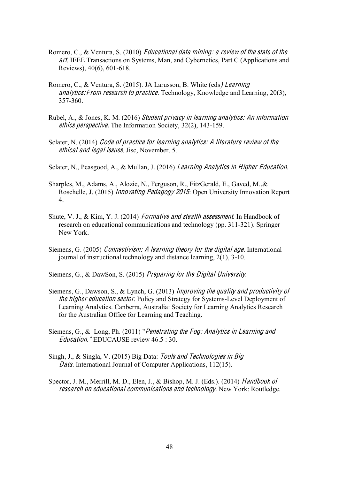- Romero, C., & Ventura, S. (2010) Educational data mining: a review of the state of the ar<sup>t</sup>. IEEE Transactions on Systems, Man, and Cybernetics, Part C (Applications and Reviews), 40(6), 601-618.
- Romero, C., & Ventura, S. (2015). JA Larusson, B. White (eds) Learning analytics: From research to practice. Technology, Knowledge and Learning,  $20(3)$ , 357-360.
- Rubel, A., & Jones, K. M. (2016) Studen<sup>t</sup> priva<sup>c</sup>y in learning analytics: An information <sup>e</sup>thic<sup>s</sup> perspective. The Information Society, 32(2), 143-159.
- Sclater, N. (2014) Code of practice for learning analytics: A literature review of the <sup>e</sup>thical and legal issue<sup>s</sup>. Jisc, November, 5.
- Sclater, N., Peasgood, A., & Mullan, J. (2016) Learning Analytic<sup>s</sup> in High<sup>e</sup><sup>r</sup> Education.
- Sharples, M., Adams, A., Alozie, N., Ferguson, R., FitzGerald, E., Gaved, M.,& Roschelle, J. (2015) Innovating Pedagogy 2015: Open University Innovation Report 4.
- Shute, V. J., & Kim, Y. J. (2014) *Formative and stealth assessment*. In Handbook of research on educational communications and technology (pp. 311-321). Springer New York.
- Siemens, G. (2005) Connectivism: A learning <sup>t</sup>heory for <sup>t</sup>h<sup>e</sup> digital ag<sup>e</sup>. International journal of instructional technology and distance learning, 2(1), 3-10.
- Siemens, G., & DawSon, S. (2015) Preparing for <sup>t</sup>h<sup>e</sup> Digital University.
- Siemens, G., Dawson, S., & Lynch, G. (2013) Improving <sup>t</sup>h<sup>e</sup> quality and productivity <sup>o</sup>f the higher education sector. Policy and Strategy for Systems-Level Deployment of Learning Analytics. Canberra, Australia: Society for Learning Analytics Research for the Australian Office for Learning and Teaching.
- Siemens, G., & Long, Ph. (2011) "Penetrating <sup>t</sup>h<sup>e</sup> Fog: Analytic<sup>s</sup> in Learning and Education." EDUCAUSE review 46.5 : 30.
- Singh, J., & Singla, V. (2015) Big Data: Tool<sup>s</sup> and Technologie<sup>s</sup> in Big Data. International Journal of Computer Applications, 112(15).
- Spector, J. M., Merrill, M. D., Elen, J., & Bishop, M. J. (Eds.). (2014) Handbook of <sup>r</sup>esearch on <sup>e</sup>ducational <sup>c</sup>ommunication<sup>s</sup> and <sup>t</sup>echnology. New York: Routledge.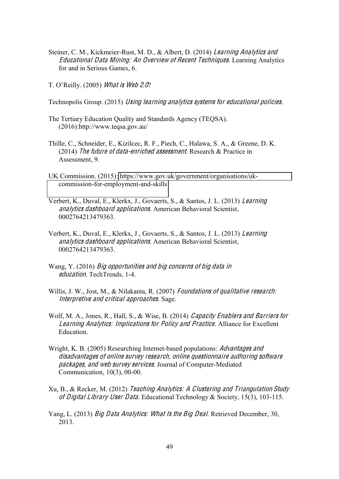- Steiner, C. M., Kickmeier-Rust, M. D., & Albert, D. (2014) Learning Analytics and Educational Dat<sup>a</sup> Mining: An Overvie<sup>w</sup> <sup>o</sup>f Recen<sup>t</sup> Techniques. Learning Analytics for and in Serious Games, 6.
- T. O'Reilly. (2005) What is Web 2.0?
- Technopolis Group. (2015) Using learning analytic<sup>s</sup> <sup>s</sup>ystem<sup>s</sup> for <sup>e</sup>ducational policies.
- The Tertiary Education Quality and Standards Agency (TEQSA). (2016):http://www.teqsa.gov.au/
- Thille, C., Schneider, E., Kizilcec, R. F., Piech, C., Halawa, S. A., & Greene, D. K. (2014) Th<sup>e</sup> futur<sup>e</sup> <sup>o</sup>f data-enriched <sup>a</sup>ssessmen<sup>t</sup>. Research & Practice in Assessment, 9.
- UK Commission. (2015): [https://www.gov.uk/government/organisations/uk](https://www.gov.uk/government/organisations/uk-commission-for-employment-and-skills)[commission-for-employment-and-skills](https://www.gov.uk/government/organisations/uk-commission-for-employment-and-skills)
- Verbert, K., Duval, E., Klerkx, J., Govaerts, S., & Santos, J. L. (2013) Learning analytic<sup>s</sup> dashboard appli<sup>c</sup>ations. American Behavioral Scientist, 0002764213479363.
- Verbert, K., Duval, E., Klerkx, J., Govaerts, S., & Santos, J. L. (2013) Learning analytic<sup>s</sup> dashboard appli<sup>c</sup>ations. American Behavioral Scientist, 0002764213479363.
- Wang, Y. (2016) Big opportunitie<sup>s</sup> and big <sup>c</sup>oncern<sup>s</sup> <sup>o</sup>f big dat<sup>a</sup> in <sup>e</sup>ducation. TechTrends, 1-4.
- Willis, J. W., Jost, M., & Nilakanta, R. (2007) Foundations of qualitative research: Interpretiv<sup>e</sup> and <sup>c</sup>ritical approaches. Sage.
- Wolf, M. A., Jones, R., Hall, S., & Wise, B. (2014) Capacity Enabler<sup>s</sup> and Barrier<sup>s</sup> for Learning Analytics: Impli<sup>c</sup>ation<sup>s</sup> for Policy and Practice. Alliance for Excellent Education.
- Wright, K. B. (2005) Researching Internet-based populations: *Advantages and* disadvantage<sup>s</sup> <sup>o</sup>f onlin<sup>e</sup> <sup>s</sup>urvey <sup>r</sup>esearch, onlin<sup>e</sup> questionnair<sup>e</sup> authoring <sup>s</sup>oftwar<sup>e</sup> packages, and web survey services. Journal of Computer-Mediated Communication, 10(3), 00-00.
- Xu, B., & Recker, M. (2012) Tea<sup>c</sup>hing Analytics: A Clustering and Triangulation Study <sup>o</sup>f Digital Library Use<sup>r</sup> Data. Educational Technology & Society, 15(3), 103-115.
- Yang, L. (2013) Big Dat<sup>a</sup> Analytics: Wha<sup>t</sup> I<sup>s</sup> <sup>t</sup>h<sup>e</sup> Big Deal. Retrieved December, 30, 2013.